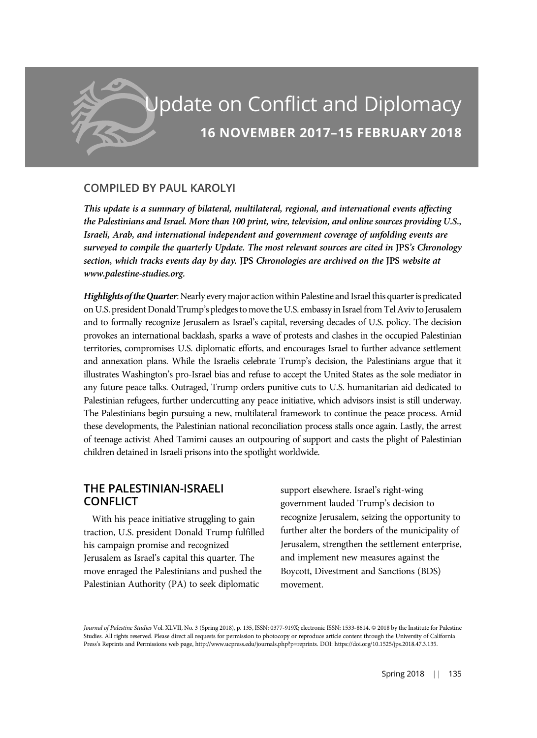

# COMPILED BY PAUL KAROLYI

This update is a summary of bilateral, multilateral, regional, and international events affecting the Palestinians and Israel. More than 100 print, wire, television, and online sources providing U.S., Israeli, Arab, and international independent and government coverage of unfolding events are surveyed to compile the quarterly Update. The most relevant sources are cited in JPS's Chronology section, which tracks events day by day. JPS Chronologies are archived on the JPS website at www.palestine-studies.org.

Highlights of the Quarter: Nearly every major action within Palestine and Israel this quarter is predicated on U.S. president Donald Trump's pledges to move the U.S. embassy in Israel from Tel Aviv to Jerusalem and to formally recognize Jerusalem as Israel's capital, reversing decades of U.S. policy. The decision provokes an international backlash, sparks a wave of protests and clashes in the occupied Palestinian territories, compromises U.S. diplomatic efforts, and encourages Israel to further advance settlement and annexation plans. While the Israelis celebrate Trump's decision, the Palestinians argue that it illustrates Washington's pro-Israel bias and refuse to accept the United States as the sole mediator in any future peace talks. Outraged, Trump orders punitive cuts to U.S. humanitarian aid dedicated to Palestinian refugees, further undercutting any peace initiative, which advisors insist is still underway. The Palestinians begin pursuing a new, multilateral framework to continue the peace process. Amid these developments, the Palestinian national reconciliation process stalls once again. Lastly, the arrest of teenage activist Ahed Tamimi causes an outpouring of support and casts the plight of Palestinian children detained in Israeli prisons into the spotlight worldwide.

# THE PALESTINIAN-ISRAELI **CONFLICT**

With his peace initiative struggling to gain traction, U.S. president Donald Trump fulfilled his campaign promise and recognized Jerusalem as Israel's capital this quarter. The move enraged the Palestinians and pushed the Palestinian Authority (PA) to seek diplomatic

support elsewhere. Israel's right-wing government lauded Trump's decision to recognize Jerusalem, seizing the opportunity to further alter the borders of the municipality of Jerusalem, strengthen the settlement enterprise, and implement new measures against the Boycott, Divestment and Sanctions (BDS) movement.

Journal of Palestine Studies Vol. XLVII, No. 3 (Spring 2018), p. 135, ISSN: 0377-919X; electronic ISSN: 1533-8614. © 2018 by the Institute for Palestine Studies. All rights reserved. Please direct all requests for permission to photocopy or reproduce article content through the University of California Press's Reprints and Permissions web page, http://www.ucpress.edu/journals.php?p=reprints. DOI: https://doi.org/10.1525/jps.2018.47.3.135.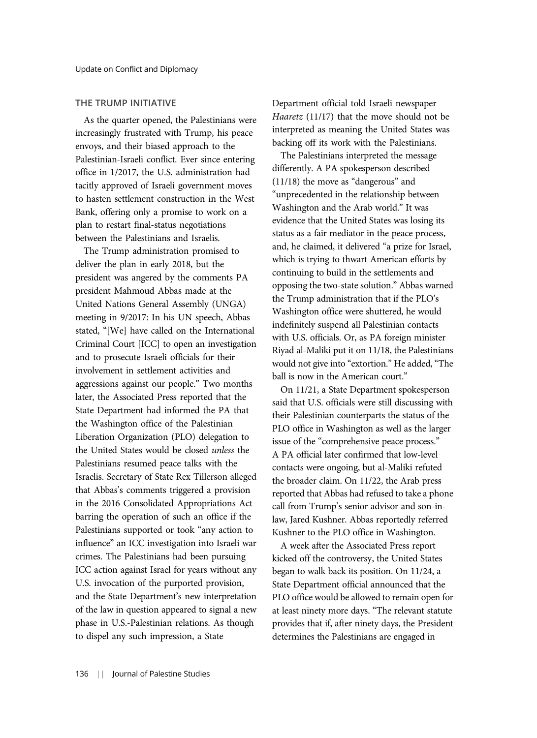#### THE TRUMP INITIATIVE

As the quarter opened, the Palestinians were increasingly frustrated with Trump, his peace envoys, and their biased approach to the Palestinian-Israeli conflict. Ever since entering office in 1/2017, the U.S. administration had tacitly approved of Israeli government moves to hasten settlement construction in the West Bank, offering only a promise to work on a plan to restart final-status negotiations between the Palestinians and Israelis.

The Trump administration promised to deliver the plan in early 2018, but the president was angered by the comments PA president Mahmoud Abbas made at the United Nations General Assembly (UNGA) meeting in 9/2017: In his UN speech, Abbas stated, "[We] have called on the International Criminal Court [ICC] to open an investigation and to prosecute Israeli officials for their involvement in settlement activities and aggressions against our people." Two months later, the Associated Press reported that the State Department had informed the PA that the Washington office of the Palestinian Liberation Organization (PLO) delegation to the United States would be closed unless the Palestinians resumed peace talks with the Israelis. Secretary of State Rex Tillerson alleged that Abbas's comments triggered a provision in the 2016 Consolidated Appropriations Act barring the operation of such an office if the Palestinians supported or took "any action to influence" an ICC investigation into Israeli war crimes. The Palestinians had been pursuing ICC action against Israel for years without any U.S. invocation of the purported provision, and the State Department's new interpretation of the law in question appeared to signal a new phase in U.S.-Palestinian relations. As though to dispel any such impression, a State

Department official told Israeli newspaper Haaretz (11/17) that the move should not be interpreted as meaning the United States was backing off its work with the Palestinians.

The Palestinians interpreted the message differently. A PA spokesperson described (11/18) the move as "dangerous" and "unprecedented in the relationship between Washington and the Arab world." It was evidence that the United States was losing its status as a fair mediator in the peace process, and, he claimed, it delivered "a prize for Israel, which is trying to thwart American efforts by continuing to build in the settlements and opposing the two-state solution." Abbas warned the Trump administration that if the PLO's Washington office were shuttered, he would indefinitely suspend all Palestinian contacts with U.S. officials. Or, as PA foreign minister Riyad al-Maliki put it on 11/18, the Palestinians would not give into "extortion." He added, "The ball is now in the American court."

On 11/21, a State Department spokesperson said that U.S. officials were still discussing with their Palestinian counterparts the status of the PLO office in Washington as well as the larger issue of the "comprehensive peace process." A PA official later confirmed that low-level contacts were ongoing, but al-Maliki refuted the broader claim. On 11/22, the Arab press reported that Abbas had refused to take a phone call from Trump's senior advisor and son-inlaw, Jared Kushner. Abbas reportedly referred Kushner to the PLO office in Washington.

A week after the Associated Press report kicked off the controversy, the United States began to walk back its position. On 11/24, a State Department official announced that the PLO office would be allowed to remain open for at least ninety more days. "The relevant statute provides that if, after ninety days, the President determines the Palestinians are engaged in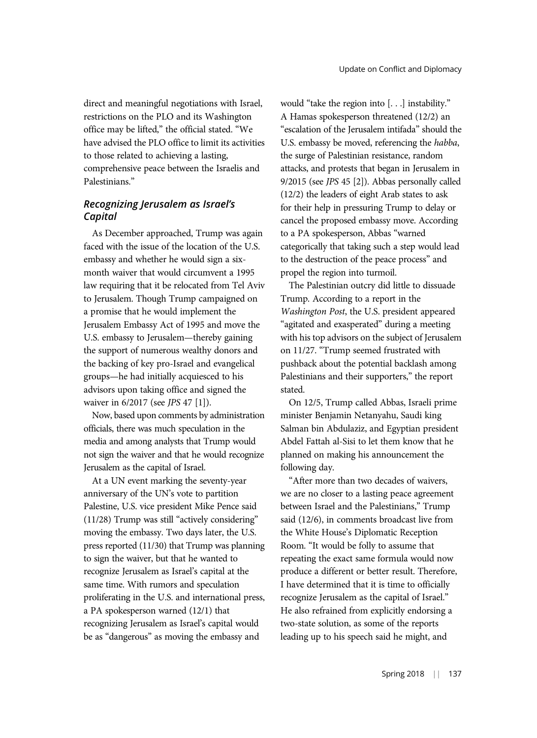direct and meaningful negotiations with Israel, restrictions on the PLO and its Washington office may be lifted," the official stated. "We have advised the PLO office to limit its activities to those related to achieving a lasting, comprehensive peace between the Israelis and Palestinians."

# Recognizing Jerusalem as Israel's Capital

As December approached, Trump was again faced with the issue of the location of the U.S. embassy and whether he would sign a sixmonth waiver that would circumvent a 1995 law requiring that it be relocated from Tel Aviv to Jerusalem. Though Trump campaigned on a promise that he would implement the Jerusalem Embassy Act of 1995 and move the U.S. embassy to Jerusalem—thereby gaining the support of numerous wealthy donors and the backing of key pro-Israel and evangelical groups—he had initially acquiesced to his advisors upon taking office and signed the waiver in 6/2017 (see *JPS* 47 [1]).

Now, based upon comments by administration officials, there was much speculation in the media and among analysts that Trump would not sign the waiver and that he would recognize Jerusalem as the capital of Israel.

At a UN event marking the seventy-year anniversary of the UN's vote to partition Palestine, U.S. vice president Mike Pence said (11/28) Trump was still "actively considering" moving the embassy. Two days later, the U.S. press reported (11/30) that Trump was planning to sign the waiver, but that he wanted to recognize Jerusalem as Israel's capital at the same time. With rumors and speculation proliferating in the U.S. and international press, a PA spokesperson warned (12/1) that recognizing Jerusalem as Israel's capital would be as "dangerous" as moving the embassy and

would "take the region into [. . .] instability." A Hamas spokesperson threatened (12/2) an "escalation of the Jerusalem intifada" should the U.S. embassy be moved, referencing the habba, the surge of Palestinian resistance, random attacks, and protests that began in Jerusalem in 9/2015 (see JPS 45 [2]). Abbas personally called (12/2) the leaders of eight Arab states to ask for their help in pressuring Trump to delay or cancel the proposed embassy move. According to a PA spokesperson, Abbas "warned categorically that taking such a step would lead to the destruction of the peace process" and propel the region into turmoil.

The Palestinian outcry did little to dissuade Trump. According to a report in the Washington Post, the U.S. president appeared "agitated and exasperated" during a meeting with his top advisors on the subject of Jerusalem on 11/27. "Trump seemed frustrated with pushback about the potential backlash among Palestinians and their supporters," the report stated.

On 12/5, Trump called Abbas, Israeli prime minister Benjamin Netanyahu, Saudi king Salman bin Abdulaziz, and Egyptian president Abdel Fattah al-Sisi to let them know that he planned on making his announcement the following day.

"After more than two decades of waivers, we are no closer to a lasting peace agreement between Israel and the Palestinians," Trump said (12/6), in comments broadcast live from the White House's Diplomatic Reception Room. "It would be folly to assume that repeating the exact same formula would now produce a different or better result. Therefore, I have determined that it is time to officially recognize Jerusalem as the capital of Israel." He also refrained from explicitly endorsing a two-state solution, as some of the reports leading up to his speech said he might, and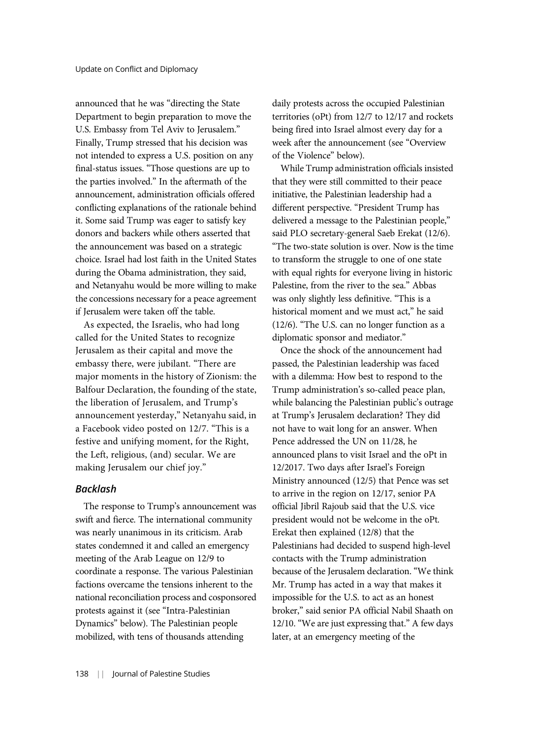announced that he was "directing the State Department to begin preparation to move the U.S. Embassy from Tel Aviv to Jerusalem." Finally, Trump stressed that his decision was not intended to express a U.S. position on any final-status issues. "Those questions are up to the parties involved." In the aftermath of the announcement, administration officials offered conflicting explanations of the rationale behind it. Some said Trump was eager to satisfy key donors and backers while others asserted that the announcement was based on a strategic choice. Israel had lost faith in the United States during the Obama administration, they said, and Netanyahu would be more willing to make the concessions necessary for a peace agreement if Jerusalem were taken off the table.

As expected, the Israelis, who had long called for the United States to recognize Jerusalem as their capital and move the embassy there, were jubilant. "There are major moments in the history of Zionism: the Balfour Declaration, the founding of the state, the liberation of Jerusalem, and Trump's announcement yesterday," Netanyahu said, in a Facebook video posted on 12/7. "This is a festive and unifying moment, for the Right, the Left, religious, (and) secular. We are making Jerusalem our chief joy."

#### Backlash

The response to Trump's announcement was swift and fierce. The international community was nearly unanimous in its criticism. Arab states condemned it and called an emergency meeting of the Arab League on 12/9 to coordinate a response. The various Palestinian factions overcame the tensions inherent to the national reconciliation process and cosponsored protests against it (see "Intra-Palestinian Dynamics" below). The Palestinian people mobilized, with tens of thousands attending

daily protests across the occupied Palestinian territories (oPt) from 12/7 to 12/17 and rockets being fired into Israel almost every day for a week after the announcement (see "Overview of the Violence" below).

While Trump administration officials insisted that they were still committed to their peace initiative, the Palestinian leadership had a different perspective. "President Trump has delivered a message to the Palestinian people," said PLO secretary-general Saeb Erekat (12/6). "The two-state solution is over. Now is the time to transform the struggle to one of one state with equal rights for everyone living in historic Palestine, from the river to the sea." Abbas was only slightly less definitive. "This is a historical moment and we must act," he said (12/6). "The U.S. can no longer function as a diplomatic sponsor and mediator."

Once the shock of the announcement had passed, the Palestinian leadership was faced with a dilemma: How best to respond to the Trump administration's so-called peace plan, while balancing the Palestinian public's outrage at Trump's Jerusalem declaration? They did not have to wait long for an answer. When Pence addressed the UN on 11/28, he announced plans to visit Israel and the oPt in 12/2017. Two days after Israel's Foreign Ministry announced (12/5) that Pence was set to arrive in the region on 12/17, senior PA official Jibril Rajoub said that the U.S. vice president would not be welcome in the oPt. Erekat then explained (12/8) that the Palestinians had decided to suspend high-level contacts with the Trump administration because of the Jerusalem declaration. "We think Mr. Trump has acted in a way that makes it impossible for the U.S. to act as an honest broker," said senior PA official Nabil Shaath on 12/10. "We are just expressing that." A few days later, at an emergency meeting of the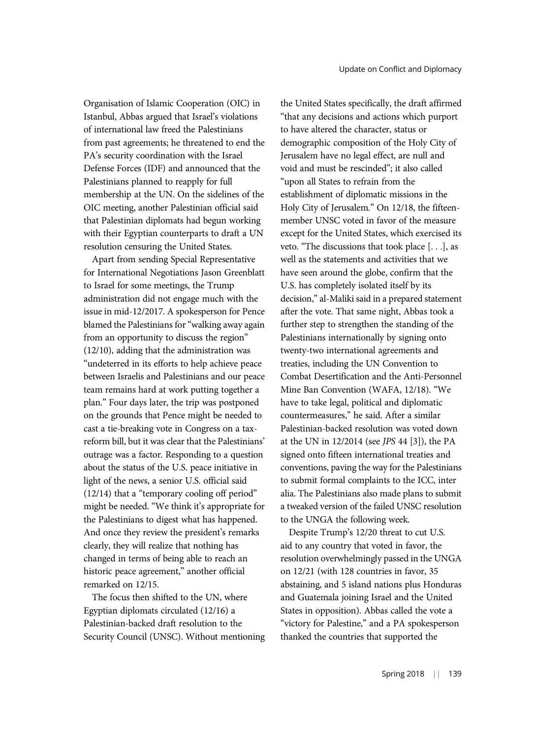Organisation of Islamic Cooperation (OIC) in Istanbul, Abbas argued that Israel's violations of international law freed the Palestinians from past agreements; he threatened to end the PA's security coordination with the Israel Defense Forces (IDF) and announced that the Palestinians planned to reapply for full membership at the UN. On the sidelines of the OIC meeting, another Palestinian official said that Palestinian diplomats had begun working with their Egyptian counterparts to draft a UN resolution censuring the United States.

Apart from sending Special Representative for International Negotiations Jason Greenblatt to Israel for some meetings, the Trump administration did not engage much with the issue in mid-12/2017. A spokesperson for Pence blamed the Palestinians for "walking away again from an opportunity to discuss the region" (12/10), adding that the administration was "undeterred in its efforts to help achieve peace between Israelis and Palestinians and our peace team remains hard at work putting together a plan." Four days later, the trip was postponed on the grounds that Pence might be needed to cast a tie-breaking vote in Congress on a taxreform bill, but it was clear that the Palestinians' outrage was a factor. Responding to a question about the status of the U.S. peace initiative in light of the news, a senior U.S. official said (12/14) that a "temporary cooling off period" might be needed. "We think it's appropriate for the Palestinians to digest what has happened. And once they review the president's remarks clearly, they will realize that nothing has changed in terms of being able to reach an historic peace agreement," another official remarked on 12/15.

The focus then shifted to the UN, where Egyptian diplomats circulated (12/16) a Palestinian-backed draft resolution to the Security Council (UNSC). Without mentioning the United States specifically, the draft affirmed "that any decisions and actions which purport to have altered the character, status or demographic composition of the Holy City of Jerusalem have no legal effect, are null and void and must be rescinded"; it also called "upon all States to refrain from the establishment of diplomatic missions in the Holy City of Jerusalem." On 12/18, the fifteenmember UNSC voted in favor of the measure except for the United States, which exercised its veto. "The discussions that took place [. . .], as well as the statements and activities that we have seen around the globe, confirm that the U.S. has completely isolated itself by its decision," al-Maliki said in a prepared statement after the vote. That same night, Abbas took a further step to strengthen the standing of the Palestinians internationally by signing onto twenty-two international agreements and treaties, including the UN Convention to Combat Desertification and the Anti-Personnel Mine Ban Convention (WAFA, 12/18). "We have to take legal, political and diplomatic countermeasures," he said. After a similar Palestinian-backed resolution was voted down at the UN in 12/2014 (see JPS 44 [3]), the PA signed onto fifteen international treaties and conventions, paving the way for the Palestinians to submit formal complaints to the ICC, inter alia. The Palestinians also made plans to submit a tweaked version of the failed UNSC resolution to the UNGA the following week.

Despite Trump's 12/20 threat to cut U.S. aid to any country that voted in favor, the resolution overwhelmingly passed in the UNGA on 12/21 (with 128 countries in favor, 35 abstaining, and 5 island nations plus Honduras and Guatemala joining Israel and the United States in opposition). Abbas called the vote a "victory for Palestine," and a PA spokesperson thanked the countries that supported the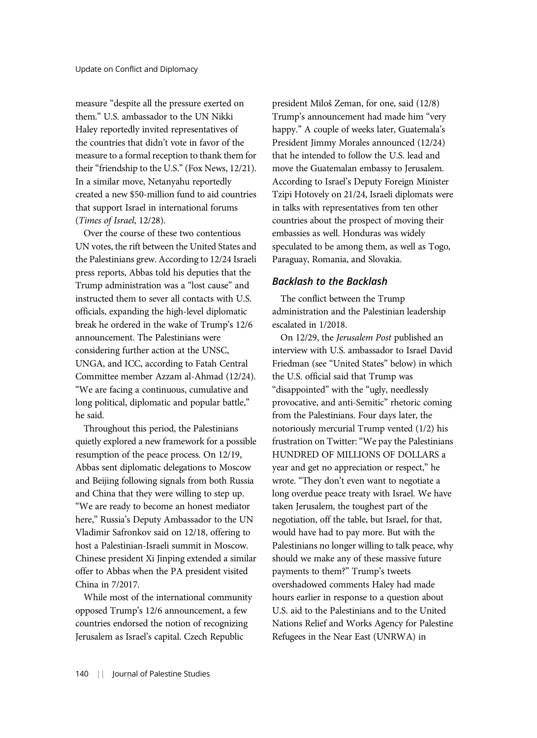measure "despite all the pressure exerted on them." U.S. ambassador to the UN Nikki Haley reportedly invited representatives of the countries that didn't vote in favor of the measure to a formal reception to thank them for their "friendship to the U.S." (Fox News, 12/21). In a similar move, Netanyahu reportedly created a new \$50-million fund to aid countries that support Israel in international forums (Times of Israel, 12/28).

Over the course of these two contentious UN votes, the rift between the United States and the Palestinians grew. According to 12/24 Israeli press reports, Abbas told his deputies that the Trump administration was a "lost cause" and instructed them to sever all contacts with U.S. officials, expanding the high-level diplomatic break he ordered in the wake of Trump's 12/6 announcement. The Palestinians were considering further action at the UNSC, UNGA, and ICC, according to Fatah Central Committee member Azzam al-Ahmad (12/24). "We are facing a continuous, cumulative and long political, diplomatic and popular battle," he said.

Throughout this period, the Palestinians quietly explored a new framework for a possible resumption of the peace process. On 12/19, Abbas sent diplomatic delegations to Moscow and Beijing following signals from both Russia and China that they were willing to step up. "We are ready to become an honest mediator here," Russia's Deputy Ambassador to the UN Vladimir Safronkov said on 12/18, offering to host a Palestinian-Israeli summit in Moscow. Chinese president Xi Jinping extended a similar offer to Abbas when the PA president visited China in 7/2017.

While most of the international community opposed Trump's 12/6 announcement, a few countries endorsed the notion of recognizing Jerusalem as Israel's capital. Czech Republic

president Miloš Zeman, for one, said (12/8) Trump's announcement had made him "very happy." A couple of weeks later, Guatemala's President Jimmy Morales announced (12/24) that he intended to follow the U.S. lead and move the Guatemalan embassy to Jerusalem. According to Israel's Deputy Foreign Minister Tzipi Hotovely on 21/24, Israeli diplomats were in talks with representatives from ten other countries about the prospect of moving their embassies as well. Honduras was widely speculated to be among them, as well as Togo, Paraguay, Romania, and Slovakia.

## Backlash to the Backlash

The conflict between the Trump administration and the Palestinian leadership escalated in 1/2018.

On 12/29, the Jerusalem Post published an interview with U.S. ambassador to Israel David Friedman (see "United States" below) in which the U.S. official said that Trump was "disappointed" with the "ugly, needlessly provocative, and anti-Semitic" rhetoric coming from the Palestinians. Four days later, the notoriously mercurial Trump vented (1/2) his frustration on Twitter: "We pay the Palestinians HUNDRED OF MILLIONS OF DOLLARS a year and get no appreciation or respect," he wrote. "They don't even want to negotiate a long overdue peace treaty with Israel. We have taken Jerusalem, the toughest part of the negotiation, off the table, but Israel, for that, would have had to pay more. But with the Palestinians no longer willing to talk peace, why should we make any of these massive future payments to them?" Trump's tweets overshadowed comments Haley had made hours earlier in response to a question about U.S. aid to the Palestinians and to the United Nations Relief and Works Agency for Palestine Refugees in the Near East (UNRWA) in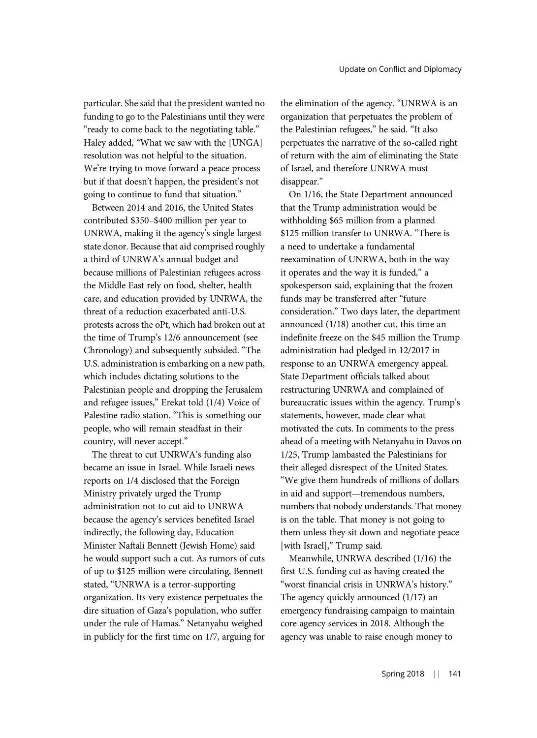particular. She said that the president wanted no funding to go to the Palestinians until they were "ready to come back to the negotiating table." Haley added, "What we saw with the [UNGA] resolution was not helpful to the situation. We're trying to move forward a peace process but if that doesn't happen, the president's not going to continue to fund that situation."

Between 2014 and 2016, the United States contributed \$350–\$400 million per year to UNRWA, making it the agency's single largest state donor. Because that aid comprised roughly a third of UNRWA's annual budget and because millions of Palestinian refugees across the Middle East rely on food, shelter, health care, and education provided by UNRWA, the threat of a reduction exacerbated anti-U.S. protests across the oPt, which had broken out at the time of Trump's 12/6 announcement (see Chronology) and subsequently subsided. "The U.S. administration is embarking on a new path, which includes dictating solutions to the Palestinian people and dropping the Jerusalem and refugee issues," Erekat told (1/4) Voice of Palestine radio station. "This is something our people, who will remain steadfast in their country, will never accept."

The threat to cut UNRWA's funding also became an issue in Israel. While Israeli news reports on 1/4 disclosed that the Foreign Ministry privately urged the Trump administration not to cut aid to UNRWA because the agency's services benefited Israel indirectly, the following day, Education Minister Naftali Bennett (Jewish Home) said he would support such a cut. As rumors of cuts of up to \$125 million were circulating, Bennett stated, "UNRWA is a terror-supporting organization. Its very existence perpetuates the dire situation of Gaza's population, who suffer under the rule of Hamas." Netanyahu weighed in publicly for the first time on 1/7, arguing for the elimination of the agency. "UNRWA is an organization that perpetuates the problem of the Palestinian refugees," he said. "It also perpetuates the narrative of the so-called right of return with the aim of eliminating the State of Israel, and therefore UNRWA must disappear."

On 1/16, the State Department announced that the Trump administration would be withholding \$65 million from a planned \$125 million transfer to UNRWA. "There is a need to undertake a fundamental reexamination of UNRWA, both in the way it operates and the way it is funded," a spokesperson said, explaining that the frozen funds may be transferred after "future consideration." Two days later, the department announced (1/18) another cut, this time an indefinite freeze on the \$45 million the Trump administration had pledged in 12/2017 in response to an UNRWA emergency appeal. State Department officials talked about restructuring UNRWA and complained of bureaucratic issues within the agency. Trump's statements, however, made clear what motivated the cuts. In comments to the press ahead of a meeting with Netanyahu in Davos on 1/25, Trump lambasted the Palestinians for their alleged disrespect of the United States. "We give them hundreds of millions of dollars in aid and support—tremendous numbers, numbers that nobody understands. That money is on the table. That money is not going to them unless they sit down and negotiate peace [with Israel]," Trump said.

Meanwhile, UNRWA described (1/16) the first U.S. funding cut as having created the "worst financial crisis in UNRWA's history." The agency quickly announced (1/17) an emergency fundraising campaign to maintain core agency services in 2018. Although the agency was unable to raise enough money to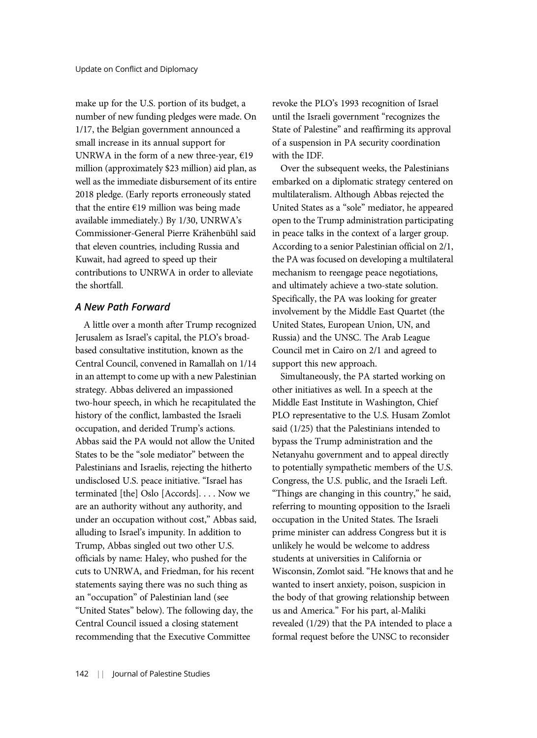make up for the U.S. portion of its budget, a number of new funding pledges were made. On 1/17, the Belgian government announced a small increase in its annual support for UNRWA in the form of a new three-year,  $€19$ million (approximately \$23 million) aid plan, as well as the immediate disbursement of its entire 2018 pledge. (Early reports erroneously stated that the entire €19 million was being made available immediately.) By 1/30, UNRWA's Commissioner-General Pierre Krähenbühl said that eleven countries, including Russia and Kuwait, had agreed to speed up their contributions to UNRWA in order to alleviate the shortfall.

## A New Path Forward

A little over a month after Trump recognized Jerusalem as Israel's capital, the PLO's broadbased consultative institution, known as the Central Council, convened in Ramallah on 1/14 in an attempt to come up with a new Palestinian strategy. Abbas delivered an impassioned two-hour speech, in which he recapitulated the history of the conflict, lambasted the Israeli occupation, and derided Trump's actions. Abbas said the PA would not allow the United States to be the "sole mediator" between the Palestinians and Israelis, rejecting the hitherto undisclosed U.S. peace initiative. "Israel has terminated [the] Oslo [Accords]. . . . Now we are an authority without any authority, and under an occupation without cost," Abbas said, alluding to Israel's impunity. In addition to Trump, Abbas singled out two other U.S. officials by name: Haley, who pushed for the cuts to UNRWA, and Friedman, for his recent statements saying there was no such thing as an "occupation" of Palestinian land (see "United States" below). The following day, the Central Council issued a closing statement recommending that the Executive Committee

revoke the PLO's 1993 recognition of Israel until the Israeli government "recognizes the State of Palestine" and reaffirming its approval of a suspension in PA security coordination with the IDF.

Over the subsequent weeks, the Palestinians embarked on a diplomatic strategy centered on multilateralism. Although Abbas rejected the United States as a "sole" mediator, he appeared open to the Trump administration participating in peace talks in the context of a larger group. According to a senior Palestinian official on 2/1, the PA was focused on developing a multilateral mechanism to reengage peace negotiations, and ultimately achieve a two-state solution. Specifically, the PA was looking for greater involvement by the Middle East Quartet (the United States, European Union, UN, and Russia) and the UNSC. The Arab League Council met in Cairo on 2/1 and agreed to support this new approach.

Simultaneously, the PA started working on other initiatives as well. In a speech at the Middle East Institute in Washington, Chief PLO representative to the U.S. Husam Zomlot said (1/25) that the Palestinians intended to bypass the Trump administration and the Netanyahu government and to appeal directly to potentially sympathetic members of the U.S. Congress, the U.S. public, and the Israeli Left. "Things are changing in this country," he said, referring to mounting opposition to the Israeli occupation in the United States. The Israeli prime minister can address Congress but it is unlikely he would be welcome to address students at universities in California or Wisconsin, Zomlot said. "He knows that and he wanted to insert anxiety, poison, suspicion in the body of that growing relationship between us and America." For his part, al-Maliki revealed (1/29) that the PA intended to place a formal request before the UNSC to reconsider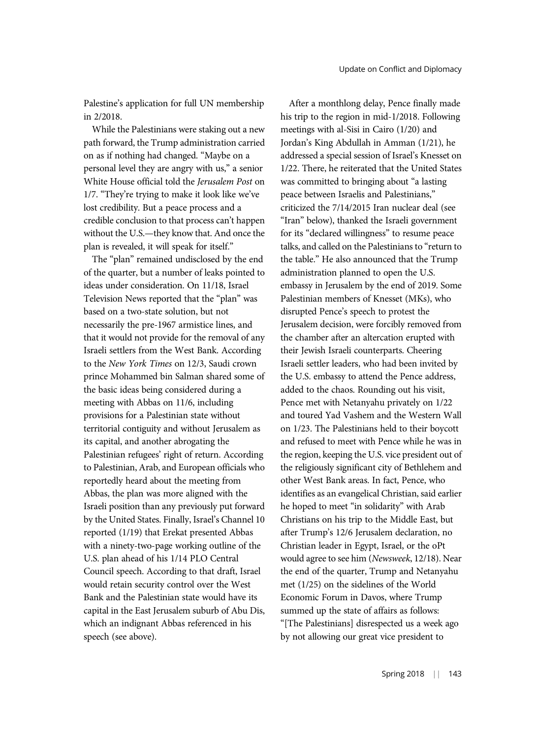Palestine's application for full UN membership in 2/2018.

While the Palestinians were staking out a new path forward, the Trump administration carried on as if nothing had changed. "Maybe on a personal level they are angry with us," a senior White House official told the Jerusalem Post on 1/7. "They're trying to make it look like we've lost credibility. But a peace process and a credible conclusion to that process can't happen without the U.S.—they know that. And once the plan is revealed, it will speak for itself."

The "plan" remained undisclosed by the end of the quarter, but a number of leaks pointed to ideas under consideration. On 11/18, Israel Television News reported that the "plan" was based on a two-state solution, but not necessarily the pre-1967 armistice lines, and that it would not provide for the removal of any Israeli settlers from the West Bank. According to the New York Times on 12/3, Saudi crown prince Mohammed bin Salman shared some of the basic ideas being considered during a meeting with Abbas on 11/6, including provisions for a Palestinian state without territorial contiguity and without Jerusalem as its capital, and another abrogating the Palestinian refugees' right of return. According to Palestinian, Arab, and European officials who reportedly heard about the meeting from Abbas, the plan was more aligned with the Israeli position than any previously put forward by the United States. Finally, Israel's Channel 10 reported (1/19) that Erekat presented Abbas with a ninety-two-page working outline of the U.S. plan ahead of his 1/14 PLO Central Council speech. According to that draft, Israel would retain security control over the West Bank and the Palestinian state would have its capital in the East Jerusalem suburb of Abu Dis, which an indignant Abbas referenced in his speech (see above).

After a monthlong delay, Pence finally made his trip to the region in mid-1/2018. Following meetings with al-Sisi in Cairo (1/20) and Jordan's King Abdullah in Amman (1/21), he addressed a special session of Israel's Knesset on 1/22. There, he reiterated that the United States was committed to bringing about "a lasting peace between Israelis and Palestinians," criticized the 7/14/2015 Iran nuclear deal (see "Iran" below), thanked the Israeli government for its "declared willingness" to resume peace talks, and called on the Palestinians to "return to the table." He also announced that the Trump administration planned to open the U.S. embassy in Jerusalem by the end of 2019. Some Palestinian members of Knesset (MKs), who disrupted Pence's speech to protest the Jerusalem decision, were forcibly removed from the chamber after an altercation erupted with their Jewish Israeli counterparts. Cheering Israeli settler leaders, who had been invited by the U.S. embassy to attend the Pence address, added to the chaos. Rounding out his visit, Pence met with Netanyahu privately on 1/22 and toured Yad Vashem and the Western Wall on 1/23. The Palestinians held to their boycott and refused to meet with Pence while he was in the region, keeping the U.S. vice president out of the religiously significant city of Bethlehem and other West Bank areas. In fact, Pence, who identifies as an evangelical Christian, said earlier he hoped to meet "in solidarity" with Arab Christians on his trip to the Middle East, but after Trump's 12/6 Jerusalem declaration, no Christian leader in Egypt, Israel, or the oPt would agree to see him (Newsweek, 12/18). Near the end of the quarter, Trump and Netanyahu met (1/25) on the sidelines of the World Economic Forum in Davos, where Trump summed up the state of affairs as follows: "[The Palestinians] disrespected us a week ago by not allowing our great vice president to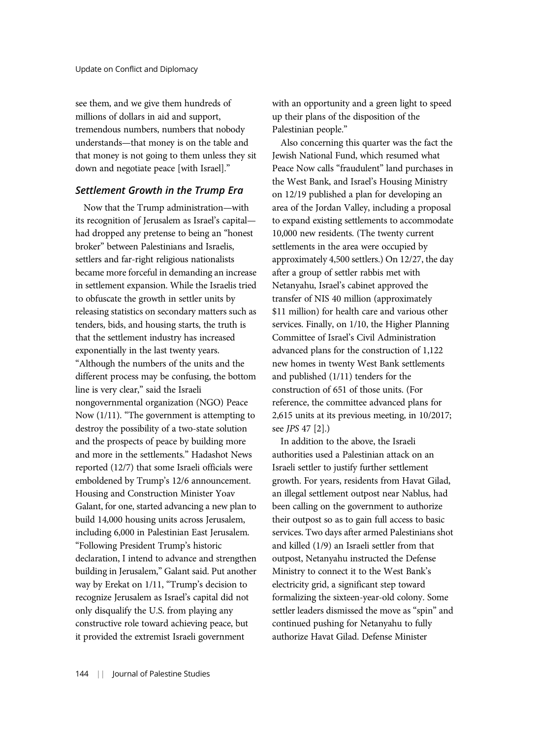see them, and we give them hundreds of millions of dollars in aid and support, tremendous numbers, numbers that nobody understands—that money is on the table and that money is not going to them unless they sit down and negotiate peace [with Israel]."

# Settlement Growth in the Trump Era

Now that the Trump administration—with its recognition of Jerusalem as Israel's capital had dropped any pretense to being an "honest broker" between Palestinians and Israelis, settlers and far-right religious nationalists became more forceful in demanding an increase in settlement expansion. While the Israelis tried to obfuscate the growth in settler units by releasing statistics on secondary matters such as tenders, bids, and housing starts, the truth is that the settlement industry has increased exponentially in the last twenty years. "Although the numbers of the units and the different process may be confusing, the bottom line is very clear," said the Israeli nongovernmental organization (NGO) Peace Now (1/11). "The government is attempting to destroy the possibility of a two-state solution and the prospects of peace by building more and more in the settlements." Hadashot News reported (12/7) that some Israeli officials were emboldened by Trump's 12/6 announcement. Housing and Construction Minister Yoav Galant, for one, started advancing a new plan to build 14,000 housing units across Jerusalem, including 6,000 in Palestinian East Jerusalem. "Following President Trump's historic declaration, I intend to advance and strengthen building in Jerusalem," Galant said. Put another way by Erekat on 1/11, "Trump's decision to recognize Jerusalem as Israel's capital did not only disqualify the U.S. from playing any constructive role toward achieving peace, but it provided the extremist Israeli government

with an opportunity and a green light to speed up their plans of the disposition of the Palestinian people."

Also concerning this quarter was the fact the Jewish National Fund, which resumed what Peace Now calls "fraudulent" land purchases in the West Bank, and Israel's Housing Ministry on 12/19 published a plan for developing an area of the Jordan Valley, including a proposal to expand existing settlements to accommodate 10,000 new residents. (The twenty current settlements in the area were occupied by approximately 4,500 settlers.) On 12/27, the day after a group of settler rabbis met with Netanyahu, Israel's cabinet approved the transfer of NIS 40 million (approximately \$11 million) for health care and various other services. Finally, on 1/10, the Higher Planning Committee of Israel's Civil Administration advanced plans for the construction of 1,122 new homes in twenty West Bank settlements and published (1/11) tenders for the construction of 651 of those units. (For reference, the committee advanced plans for 2,615 units at its previous meeting, in 10/2017; see JPS 47 [2].)

In addition to the above, the Israeli authorities used a Palestinian attack on an Israeli settler to justify further settlement growth. For years, residents from Havat Gilad, an illegal settlement outpost near Nablus, had been calling on the government to authorize their outpost so as to gain full access to basic services. Two days after armed Palestinians shot and killed (1/9) an Israeli settler from that outpost, Netanyahu instructed the Defense Ministry to connect it to the West Bank's electricity grid, a significant step toward formalizing the sixteen-year-old colony. Some settler leaders dismissed the move as "spin" and continued pushing for Netanyahu to fully authorize Havat Gilad. Defense Minister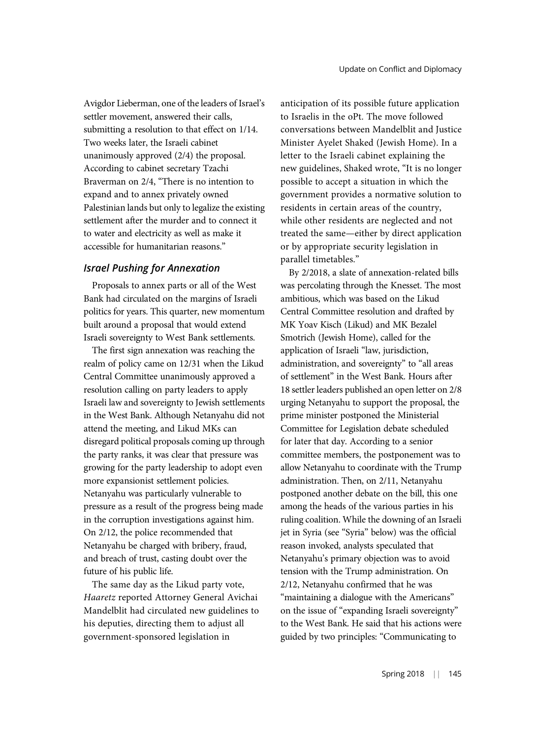Avigdor Lieberman, one of the leaders of Israel's settler movement, answered their calls, submitting a resolution to that effect on 1/14. Two weeks later, the Israeli cabinet unanimously approved (2/4) the proposal. According to cabinet secretary Tzachi Braverman on 2/4, "There is no intention to expand and to annex privately owned Palestinian lands but only to legalize the existing settlement after the murder and to connect it to water and electricity as well as make it accessible for humanitarian reasons."

#### Israel Pushing for Annexation

Proposals to annex parts or all of the West Bank had circulated on the margins of Israeli politics for years. This quarter, new momentum built around a proposal that would extend Israeli sovereignty to West Bank settlements.

The first sign annexation was reaching the realm of policy came on 12/31 when the Likud Central Committee unanimously approved a resolution calling on party leaders to apply Israeli law and sovereignty to Jewish settlements in the West Bank. Although Netanyahu did not attend the meeting, and Likud MKs can disregard political proposals coming up through the party ranks, it was clear that pressure was growing for the party leadership to adopt even more expansionist settlement policies. Netanyahu was particularly vulnerable to pressure as a result of the progress being made in the corruption investigations against him. On 2/12, the police recommended that Netanyahu be charged with bribery, fraud, and breach of trust, casting doubt over the future of his public life.

The same day as the Likud party vote, Haaretz reported Attorney General Avichai Mandelblit had circulated new guidelines to his deputies, directing them to adjust all government-sponsored legislation in

anticipation of its possible future application to Israelis in the oPt. The move followed conversations between Mandelblit and Justice Minister Ayelet Shaked (Jewish Home). In a letter to the Israeli cabinet explaining the new guidelines, Shaked wrote, "It is no longer possible to accept a situation in which the government provides a normative solution to residents in certain areas of the country, while other residents are neglected and not treated the same—either by direct application or by appropriate security legislation in parallel timetables."

By 2/2018, a slate of annexation-related bills was percolating through the Knesset. The most ambitious, which was based on the Likud Central Committee resolution and drafted by MK Yoav Kisch (Likud) and MK Bezalel Smotrich (Jewish Home), called for the application of Israeli "law, jurisdiction, administration, and sovereignty" to "all areas of settlement" in the West Bank. Hours after 18 settler leaders published an open letter on 2/8 urging Netanyahu to support the proposal, the prime minister postponed the Ministerial Committee for Legislation debate scheduled for later that day. According to a senior committee members, the postponement was to allow Netanyahu to coordinate with the Trump administration. Then, on 2/11, Netanyahu postponed another debate on the bill, this one among the heads of the various parties in his ruling coalition. While the downing of an Israeli jet in Syria (see "Syria" below) was the official reason invoked, analysts speculated that Netanyahu's primary objection was to avoid tension with the Trump administration. On 2/12, Netanyahu confirmed that he was "maintaining a dialogue with the Americans" on the issue of "expanding Israeli sovereignty" to the West Bank. He said that his actions were guided by two principles: "Communicating to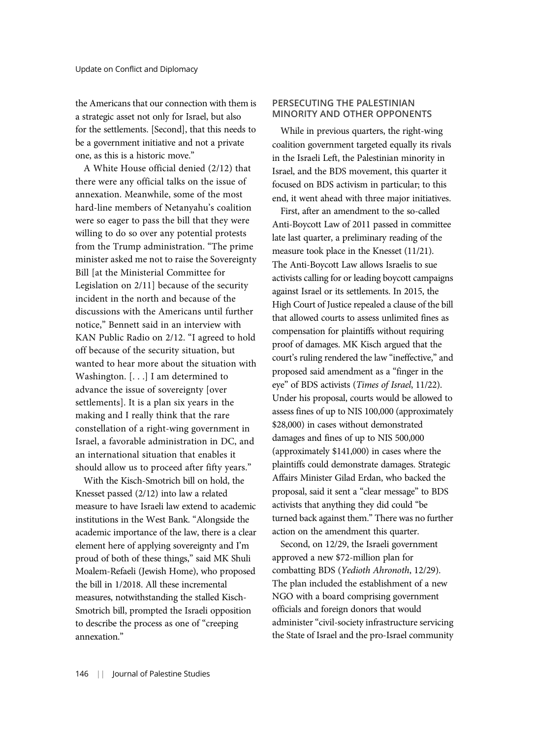the Americans that our connection with them is a strategic asset not only for Israel, but also for the settlements. [Second], that this needs to be a government initiative and not a private one, as this is a historic move."

A White House official denied (2/12) that there were any official talks on the issue of annexation. Meanwhile, some of the most hard-line members of Netanyahu's coalition were so eager to pass the bill that they were willing to do so over any potential protests from the Trump administration. "The prime minister asked me not to raise the Sovereignty Bill [at the Ministerial Committee for Legislation on 2/11] because of the security incident in the north and because of the discussions with the Americans until further notice," Bennett said in an interview with KAN Public Radio on 2/12. "I agreed to hold off because of the security situation, but wanted to hear more about the situation with Washington. [. . .] I am determined to advance the issue of sovereignty [over settlements]. It is a plan six years in the making and I really think that the rare constellation of a right-wing government in Israel, a favorable administration in DC, and an international situation that enables it should allow us to proceed after fifty years."

With the Kisch-Smotrich bill on hold, the Knesset passed (2/12) into law a related measure to have Israeli law extend to academic institutions in the West Bank. "Alongside the academic importance of the law, there is a clear element here of applying sovereignty and I'm proud of both of these things," said MK Shuli Moalem-Refaeli (Jewish Home), who proposed the bill in 1/2018. All these incremental measures, notwithstanding the stalled Kisch-Smotrich bill, prompted the Israeli opposition to describe the process as one of "creeping annexation."

# PERSECUTING THE PALESTINIAN MINORITY AND OTHER OPPONENTS

While in previous quarters, the right-wing coalition government targeted equally its rivals in the Israeli Left, the Palestinian minority in Israel, and the BDS movement, this quarter it focused on BDS activism in particular; to this end, it went ahead with three major initiatives.

First, after an amendment to the so-called Anti-Boycott Law of 2011 passed in committee late last quarter, a preliminary reading of the measure took place in the Knesset (11/21). The Anti-Boycott Law allows Israelis to sue activists calling for or leading boycott campaigns against Israel or its settlements. In 2015, the High Court of Justice repealed a clause of the bill that allowed courts to assess unlimited fines as compensation for plaintiffs without requiring proof of damages. MK Kisch argued that the court's ruling rendered the law "ineffective," and proposed said amendment as a "finger in the eye" of BDS activists (Times of Israel, 11/22). Under his proposal, courts would be allowed to assess fines of up to NIS 100,000 (approximately \$28,000) in cases without demonstrated damages and fines of up to NIS 500,000 (approximately \$141,000) in cases where the plaintiffs could demonstrate damages. Strategic Affairs Minister Gilad Erdan, who backed the proposal, said it sent a "clear message" to BDS activists that anything they did could "be turned back against them." There was no further action on the amendment this quarter.

Second, on 12/29, the Israeli government approved a new \$72-million plan for combatting BDS (Yedioth Ahronoth, 12/29). The plan included the establishment of a new NGO with a board comprising government officials and foreign donors that would administer"civil-society infrastructure servicing the State of Israel and the pro-Israel community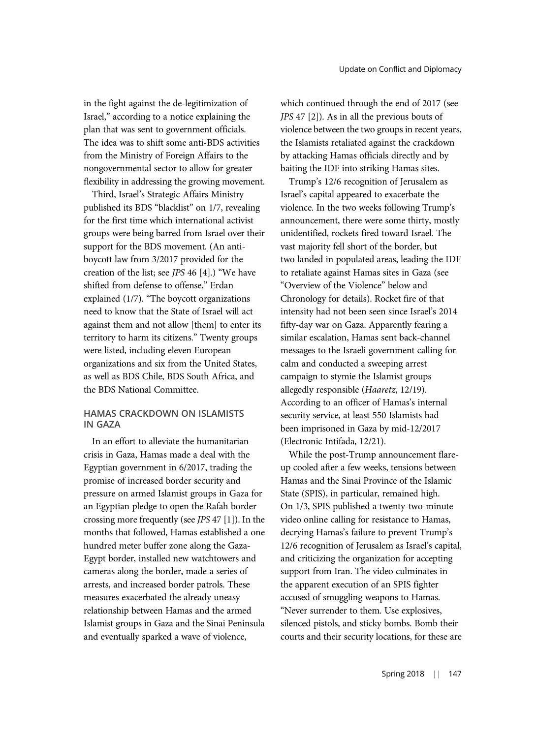in the fight against the de-legitimization of Israel," according to a notice explaining the plan that was sent to government officials. The idea was to shift some anti-BDS activities from the Ministry of Foreign Affairs to the

flexibility in addressing the growing movement. Third, Israel's Strategic Affairs Ministry published its BDS "blacklist" on 1/7, revealing for the first time which international activist groups were being barred from Israel over their support for the BDS movement. (An antiboycott law from 3/2017 provided for the creation of the list; see JPS 46 [4].) "We have shifted from defense to offense," Erdan explained (1/7). "The boycott organizations need to know that the State of Israel will act against them and not allow [them] to enter its territory to harm its citizens." Twenty groups were listed, including eleven European organizations and six from the United States, as well as BDS Chile, BDS South Africa, and the BDS National Committee.

nongovernmental sector to allow for greater

#### HAMAS CRACKDOWN ON ISLAMISTS IN GAZA

In an effort to alleviate the humanitarian crisis in Gaza, Hamas made a deal with the Egyptian government in 6/2017, trading the promise of increased border security and pressure on armed Islamist groups in Gaza for an Egyptian pledge to open the Rafah border crossing more frequently (see JPS 47 [1]). In the months that followed, Hamas established a one hundred meter buffer zone along the Gaza-Egypt border, installed new watchtowers and cameras along the border, made a series of arrests, and increased border patrols. These measures exacerbated the already uneasy relationship between Hamas and the armed Islamist groups in Gaza and the Sinai Peninsula and eventually sparked a wave of violence,

which continued through the end of 2017 (see JPS 47 [2]). As in all the previous bouts of violence between the two groups in recent years, the Islamists retaliated against the crackdown by attacking Hamas officials directly and by baiting the IDF into striking Hamas sites.

Trump's 12/6 recognition of Jerusalem as Israel's capital appeared to exacerbate the violence. In the two weeks following Trump's announcement, there were some thirty, mostly unidentified, rockets fired toward Israel. The vast majority fell short of the border, but two landed in populated areas, leading the IDF to retaliate against Hamas sites in Gaza (see "Overview of the Violence" below and Chronology for details). Rocket fire of that intensity had not been seen since Israel's 2014 fifty-day war on Gaza. Apparently fearing a similar escalation, Hamas sent back-channel messages to the Israeli government calling for calm and conducted a sweeping arrest campaign to stymie the Islamist groups allegedly responsible (Haaretz, 12/19). According to an officer of Hamas's internal security service, at least 550 Islamists had been imprisoned in Gaza by mid-12/2017 (Electronic Intifada, 12/21).

While the post-Trump announcement flareup cooled after a few weeks, tensions between Hamas and the Sinai Province of the Islamic State (SPIS), in particular, remained high. On 1/3, SPIS published a twenty-two-minute video online calling for resistance to Hamas, decrying Hamas's failure to prevent Trump's 12/6 recognition of Jerusalem as Israel's capital, and criticizing the organization for accepting support from Iran. The video culminates in the apparent execution of an SPIS fighter accused of smuggling weapons to Hamas. "Never surrender to them. Use explosives, silenced pistols, and sticky bombs. Bomb their courts and their security locations, for these are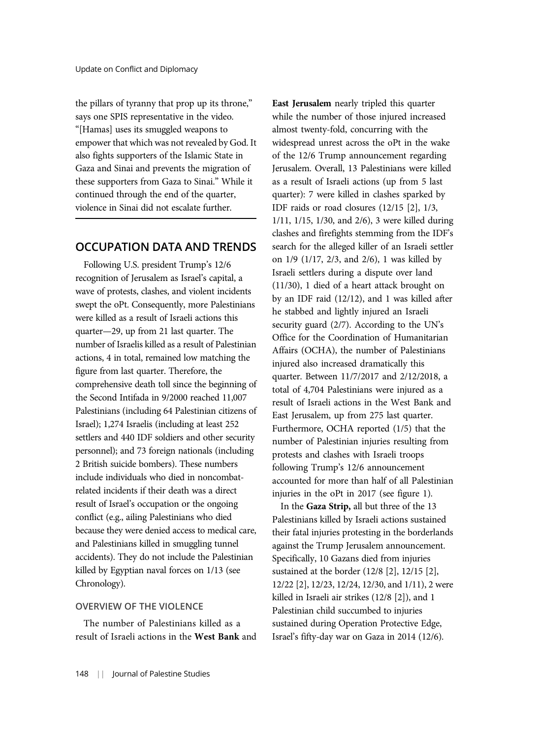the pillars of tyranny that prop up its throne," says one SPIS representative in the video. "[Hamas] uses its smuggled weapons to empower that which was not revealed by God. It also fights supporters of the Islamic State in Gaza and Sinai and prevents the migration of these supporters from Gaza to Sinai." While it continued through the end of the quarter, violence in Sinai did not escalate further.

# OCCUPATION DATA AND TRENDS

Following U.S. president Trump's 12/6 recognition of Jerusalem as Israel's capital, a wave of protests, clashes, and violent incidents swept the oPt. Consequently, more Palestinians were killed as a result of Israeli actions this quarter—29, up from 21 last quarter. The number of Israelis killed as a result of Palestinian actions, 4 in total, remained low matching the figure from last quarter. Therefore, the comprehensive death toll since the beginning of the Second Intifada in 9/2000 reached 11,007 Palestinians (including 64 Palestinian citizens of Israel); 1,274 Israelis (including at least 252 settlers and 440 IDF soldiers and other security personnel); and 73 foreign nationals (including 2 British suicide bombers). These numbers include individuals who died in noncombatrelated incidents if their death was a direct result of Israel's occupation or the ongoing conflict (e.g., ailing Palestinians who died because they were denied access to medical care, and Palestinians killed in smuggling tunnel accidents). They do not include the Palestinian killed by Egyptian naval forces on 1/13 (see Chronology).

# OVERVIEW OF THE VIOLENCE

The number of Palestinians killed as a result of Israeli actions in the West Bank and East Jerusalem nearly tripled this quarter while the number of those injured increased almost twenty-fold, concurring with the widespread unrest across the oPt in the wake of the 12/6 Trump announcement regarding Jerusalem. Overall, 13 Palestinians were killed as a result of Israeli actions (up from 5 last quarter): 7 were killed in clashes sparked by IDF raids or road closures (12/15 [2], 1/3, 1/11, 1/15, 1/30, and 2/6), 3 were killed during clashes and firefights stemming from the IDF's search for the alleged killer of an Israeli settler on 1/9 (1/17, 2/3, and 2/6), 1 was killed by Israeli settlers during a dispute over land (11/30), 1 died of a heart attack brought on by an IDF raid (12/12), and 1 was killed after he stabbed and lightly injured an Israeli security guard (2/7). According to the UN's Office for the Coordination of Humanitarian Affairs (OCHA), the number of Palestinians injured also increased dramatically this quarter. Between 11/7/2017 and 2/12/2018, a total of 4,704 Palestinians were injured as a result of Israeli actions in the West Bank and East Jerusalem, up from 275 last quarter. Furthermore, OCHA reported (1/5) that the number of Palestinian injuries resulting from protests and clashes with Israeli troops following Trump's 12/6 announcement accounted for more than half of all Palestinian injuries in the oPt in 2017 (see figure 1).

In the Gaza Strip, all but three of the 13 Palestinians killed by Israeli actions sustained their fatal injuries protesting in the borderlands against the Trump Jerusalem announcement. Specifically, 10 Gazans died from injuries sustained at the border (12/8 [2], 12/15 [2], 12/22 [2], 12/23, 12/24, 12/30, and 1/11), 2 were killed in Israeli air strikes (12/8 [2]), and 1 Palestinian child succumbed to injuries sustained during Operation Protective Edge, Israel's fifty-day war on Gaza in 2014 (12/6).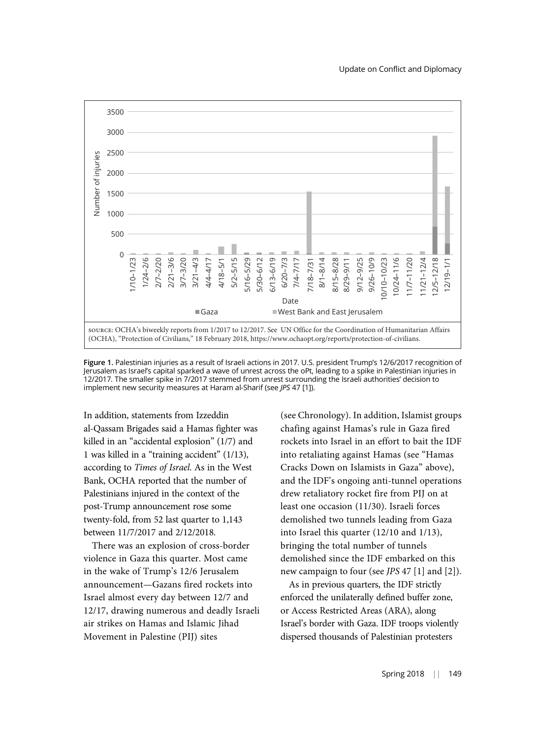

Figure 1. Palestinian injuries as a result of Israeli actions in 2017. U.S. president Trump's 12/6/2017 recognition of Jerusalem as Israel's capital sparked a wave of unrest across the oPt, leading to a spike in Palestinian injuries in 12/2017. The smaller spike in 7/2017 stemmed from unrest surrounding the Israeli authorities' decision to implement new security measures at Haram al-Sharif (see JPS 47 [1]).

In addition, statements from Izzeddin al-Qassam Brigades said a Hamas fighter was killed in an "accidental explosion" (1/7) and 1 was killed in a "training accident" (1/13), according to Times of Israel. As in the West Bank, OCHA reported that the number of Palestinians injured in the context of the post-Trump announcement rose some twenty-fold, from 52 last quarter to 1,143 between 11/7/2017 and 2/12/2018.

There was an explosion of cross-border violence in Gaza this quarter. Most came in the wake of Trump's 12/6 Jerusalem announcement—Gazans fired rockets into Israel almost every day between 12/7 and 12/17, drawing numerous and deadly Israeli air strikes on Hamas and Islamic Jihad Movement in Palestine (PIJ) sites

(see Chronology). In addition, Islamist groups chafing against Hamas's rule in Gaza fired rockets into Israel in an effort to bait the IDF into retaliating against Hamas (see "Hamas Cracks Down on Islamists in Gaza" above), and the IDF's ongoing anti-tunnel operations drew retaliatory rocket fire from PIJ on at least one occasion (11/30). Israeli forces demolished two tunnels leading from Gaza into Israel this quarter (12/10 and 1/13), bringing the total number of tunnels demolished since the IDF embarked on this new campaign to four (see JPS 47 [1] and [2]).

As in previous quarters, the IDF strictly enforced the unilaterally defined buffer zone, or Access Restricted Areas (ARA), along Israel's border with Gaza. IDF troops violently dispersed thousands of Palestinian protesters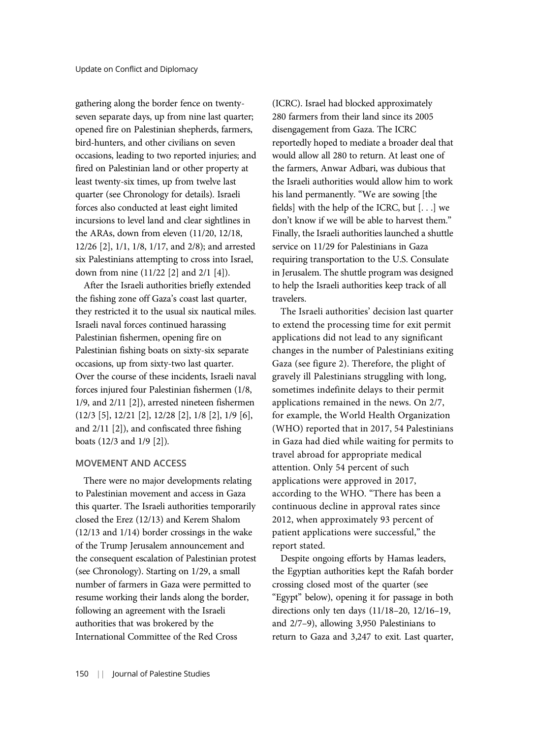gathering along the border fence on twentyseven separate days, up from nine last quarter; opened fire on Palestinian shepherds, farmers, bird-hunters, and other civilians on seven occasions, leading to two reported injuries; and fired on Palestinian land or other property at least twenty-six times, up from twelve last quarter (see Chronology for details). Israeli forces also conducted at least eight limited incursions to level land and clear sightlines in the ARAs, down from eleven (11/20, 12/18, 12/26 [2], 1/1, 1/8, 1/17, and 2/8); and arrested six Palestinians attempting to cross into Israel, down from nine (11/22 [2] and 2/1 [4]).

After the Israeli authorities briefly extended the fishing zone off Gaza's coast last quarter, they restricted it to the usual six nautical miles. Israeli naval forces continued harassing Palestinian fishermen, opening fire on Palestinian fishing boats on sixty-six separate occasions, up from sixty-two last quarter. Over the course of these incidents, Israeli naval forces injured four Palestinian fishermen (1/8, 1/9, and 2/11 [2]), arrested nineteen fishermen (12/3 [5], 12/21 [2], 12/28 [2], 1/8 [2], 1/9 [6], and 2/11 [2]), and confiscated three fishing boats (12/3 and 1/9 [2]).

#### MOVEMENT AND ACCESS

There were no major developments relating to Palestinian movement and access in Gaza this quarter. The Israeli authorities temporarily closed the Erez (12/13) and Kerem Shalom (12/13 and 1/14) border crossings in the wake of the Trump Jerusalem announcement and the consequent escalation of Palestinian protest (see Chronology). Starting on 1/29, a small number of farmers in Gaza were permitted to resume working their lands along the border, following an agreement with the Israeli authorities that was brokered by the International Committee of the Red Cross

(ICRC). Israel had blocked approximately 280 farmers from their land since its 2005 disengagement from Gaza. The ICRC reportedly hoped to mediate a broader deal that would allow all 280 to return. At least one of the farmers, Anwar Adbari, was dubious that the Israeli authorities would allow him to work his land permanently. "We are sowing [the fields] with the help of the ICRC, but [. . .] we don't know if we will be able to harvest them." Finally, the Israeli authorities launched a shuttle service on 11/29 for Palestinians in Gaza requiring transportation to the U.S. Consulate in Jerusalem. The shuttle program was designed to help the Israeli authorities keep track of all travelers.

The Israeli authorities' decision last quarter to extend the processing time for exit permit applications did not lead to any significant changes in the number of Palestinians exiting Gaza (see figure 2). Therefore, the plight of gravely ill Palestinians struggling with long, sometimes indefinite delays to their permit applications remained in the news. On 2/7, for example, the World Health Organization (WHO) reported that in 2017, 54 Palestinians in Gaza had died while waiting for permits to travel abroad for appropriate medical attention. Only 54 percent of such applications were approved in 2017, according to the WHO. "There has been a continuous decline in approval rates since 2012, when approximately 93 percent of patient applications were successful," the report stated.

Despite ongoing efforts by Hamas leaders, the Egyptian authorities kept the Rafah border crossing closed most of the quarter (see "Egypt" below), opening it for passage in both directions only ten days (11/18–20, 12/16–19, and 2/7–9), allowing 3,950 Palestinians to return to Gaza and 3,247 to exit. Last quarter,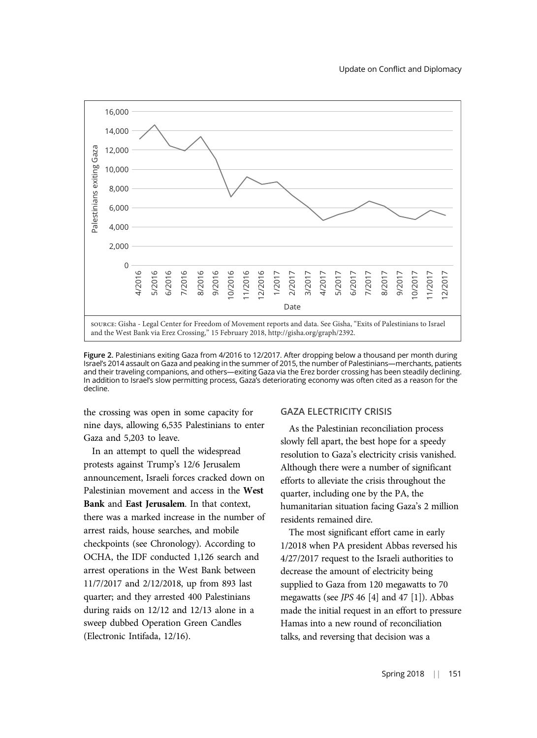

Figure 2. Palestinians exiting Gaza from 4/2016 to 12/2017. After dropping below a thousand per month during Israel's 2014 assault on Gaza and peaking in the summer of 2015, the number of Palestinians—merchants, patients and their traveling companions, and others—exiting Gaza via the Erez border crossing has been steadily declining. In addition to Israel's slow permitting process, Gaza's deteriorating economy was often cited as a reason for the decline.

the crossing was open in some capacity for nine days, allowing 6,535 Palestinians to enter Gaza and 5,203 to leave.

In an attempt to quell the widespread protests against Trump's 12/6 Jerusalem announcement, Israeli forces cracked down on Palestinian movement and access in the West Bank and East Jerusalem. In that context, there was a marked increase in the number of arrest raids, house searches, and mobile checkpoints (see Chronology). According to OCHA, the IDF conducted 1,126 search and arrest operations in the West Bank between 11/7/2017 and 2/12/2018, up from 893 last quarter; and they arrested 400 Palestinians during raids on 12/12 and 12/13 alone in a sweep dubbed Operation Green Candles (Electronic Intifada, 12/16).

## GAZA ELECTRICITY CRISIS

As the Palestinian reconciliation process slowly fell apart, the best hope for a speedy resolution to Gaza's electricity crisis vanished. Although there were a number of significant efforts to alleviate the crisis throughout the quarter, including one by the PA, the humanitarian situation facing Gaza's 2 million residents remained dire.

The most significant effort came in early 1/2018 when PA president Abbas reversed his 4/27/2017 request to the Israeli authorities to decrease the amount of electricity being supplied to Gaza from 120 megawatts to 70 megawatts (see *JPS* 46 [4] and 47 [1]). Abbas made the initial request in an effort to pressure Hamas into a new round of reconciliation talks, and reversing that decision was a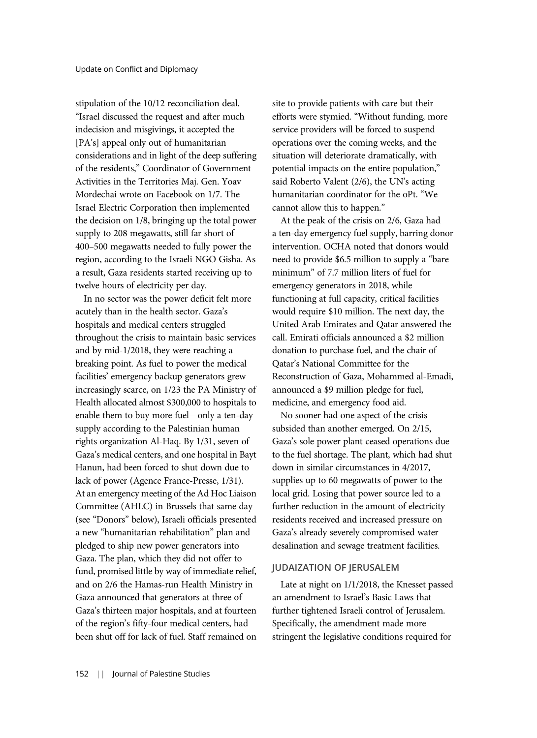stipulation of the 10/12 reconciliation deal. "Israel discussed the request and after much indecision and misgivings, it accepted the [PA's] appeal only out of humanitarian considerations and in light of the deep suffering of the residents," Coordinator of Government Activities in the Territories Maj. Gen. Yoav Mordechai wrote on Facebook on 1/7. The Israel Electric Corporation then implemented the decision on 1/8, bringing up the total power supply to 208 megawatts, still far short of 400–500 megawatts needed to fully power the region, according to the Israeli NGO Gisha. As a result, Gaza residents started receiving up to twelve hours of electricity per day.

In no sector was the power deficit felt more acutely than in the health sector. Gaza's hospitals and medical centers struggled throughout the crisis to maintain basic services and by mid-1/2018, they were reaching a breaking point. As fuel to power the medical facilities' emergency backup generators grew increasingly scarce, on 1/23 the PA Ministry of Health allocated almost \$300,000 to hospitals to enable them to buy more fuel—only a ten-day supply according to the Palestinian human rights organization Al-Haq. By 1/31, seven of Gaza's medical centers, and one hospital in Bayt Hanun, had been forced to shut down due to lack of power (Agence France-Presse, 1/31). At an emergency meeting of the Ad Hoc Liaison Committee (AHLC) in Brussels that same day (see "Donors" below), Israeli officials presented a new "humanitarian rehabilitation" plan and pledged to ship new power generators into Gaza. The plan, which they did not offer to fund, promised little by way of immediate relief, and on 2/6 the Hamas-run Health Ministry in Gaza announced that generators at three of Gaza's thirteen major hospitals, and at fourteen of the region's fifty-four medical centers, had been shut off for lack of fuel. Staff remained on site to provide patients with care but their efforts were stymied. "Without funding, more service providers will be forced to suspend operations over the coming weeks, and the situation will deteriorate dramatically, with potential impacts on the entire population," said Roberto Valent (2/6), the UN's acting humanitarian coordinator for the oPt. "We cannot allow this to happen."

At the peak of the crisis on 2/6, Gaza had a ten-day emergency fuel supply, barring donor intervention. OCHA noted that donors would need to provide \$6.5 million to supply a "bare minimum" of 7.7 million liters of fuel for emergency generators in 2018, while functioning at full capacity, critical facilities would require \$10 million. The next day, the United Arab Emirates and Qatar answered the call. Emirati officials announced a \$2 million donation to purchase fuel, and the chair of Qatar's National Committee for the Reconstruction of Gaza, Mohammed al-Emadi, announced a \$9 million pledge for fuel, medicine, and emergency food aid.

No sooner had one aspect of the crisis subsided than another emerged. On 2/15, Gaza's sole power plant ceased operations due to the fuel shortage. The plant, which had shut down in similar circumstances in 4/2017, supplies up to 60 megawatts of power to the local grid. Losing that power source led to a further reduction in the amount of electricity residents received and increased pressure on Gaza's already severely compromised water desalination and sewage treatment facilities.

#### JUDAIZATION OF JERUSALEM

Late at night on 1/1/2018, the Knesset passed an amendment to Israel's Basic Laws that further tightened Israeli control of Jerusalem. Specifically, the amendment made more stringent the legislative conditions required for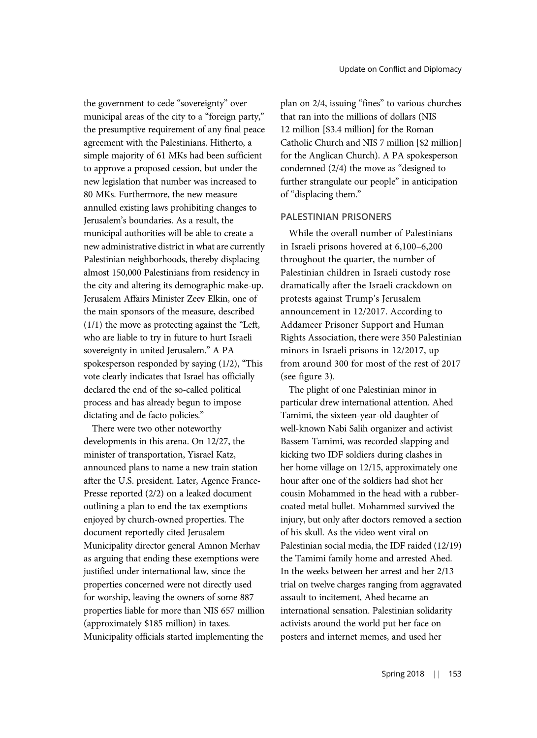the government to cede "sovereignty" over municipal areas of the city to a "foreign party," the presumptive requirement of any final peace agreement with the Palestinians. Hitherto, a simple majority of 61 MKs had been sufficient to approve a proposed cession, but under the new legislation that number was increased to 80 MKs. Furthermore, the new measure annulled existing laws prohibiting changes to Jerusalem's boundaries. As a result, the municipal authorities will be able to create a new administrative district in what are currently Palestinian neighborhoods, thereby displacing almost 150,000 Palestinians from residency in the city and altering its demographic make-up. Jerusalem Affairs Minister Zeev Elkin, one of the main sponsors of the measure, described (1/1) the move as protecting against the "Left, who are liable to try in future to hurt Israeli sovereignty in united Jerusalem." A PA spokesperson responded by saying (1/2), "This vote clearly indicates that Israel has officially declared the end of the so-called political process and has already begun to impose dictating and de facto policies."

There were two other noteworthy developments in this arena. On 12/27, the minister of transportation, Yisrael Katz, announced plans to name a new train station after the U.S. president. Later, Agence France-Presse reported (2/2) on a leaked document outlining a plan to end the tax exemptions enjoyed by church-owned properties. The document reportedly cited Jerusalem Municipality director general Amnon Merhav as arguing that ending these exemptions were justified under international law, since the properties concerned were not directly used for worship, leaving the owners of some 887 properties liable for more than NIS 657 million (approximately \$185 million) in taxes. Municipality officials started implementing the

plan on 2/4, issuing "fines" to various churches that ran into the millions of dollars (NIS 12 million [\$3.4 million] for the Roman Catholic Church and NIS 7 million [\$2 million] for the Anglican Church). A PA spokesperson condemned (2/4) the move as "designed to further strangulate our people" in anticipation of "displacing them."

#### PALESTINIAN PRISONERS

While the overall number of Palestinians in Israeli prisons hovered at 6,100–6,200 throughout the quarter, the number of Palestinian children in Israeli custody rose dramatically after the Israeli crackdown on protests against Trump's Jerusalem announcement in 12/2017. According to Addameer Prisoner Support and Human Rights Association, there were 350 Palestinian minors in Israeli prisons in 12/2017, up from around 300 for most of the rest of 2017 (see figure 3).

The plight of one Palestinian minor in particular drew international attention. Ahed Tamimi, the sixteen-year-old daughter of well-known Nabi Salih organizer and activist Bassem Tamimi, was recorded slapping and kicking two IDF soldiers during clashes in her home village on 12/15, approximately one hour after one of the soldiers had shot her cousin Mohammed in the head with a rubbercoated metal bullet. Mohammed survived the injury, but only after doctors removed a section of his skull. As the video went viral on Palestinian social media, the IDF raided (12/19) the Tamimi family home and arrested Ahed. In the weeks between her arrest and her 2/13 trial on twelve charges ranging from aggravated assault to incitement, Ahed became an international sensation. Palestinian solidarity activists around the world put her face on posters and internet memes, and used her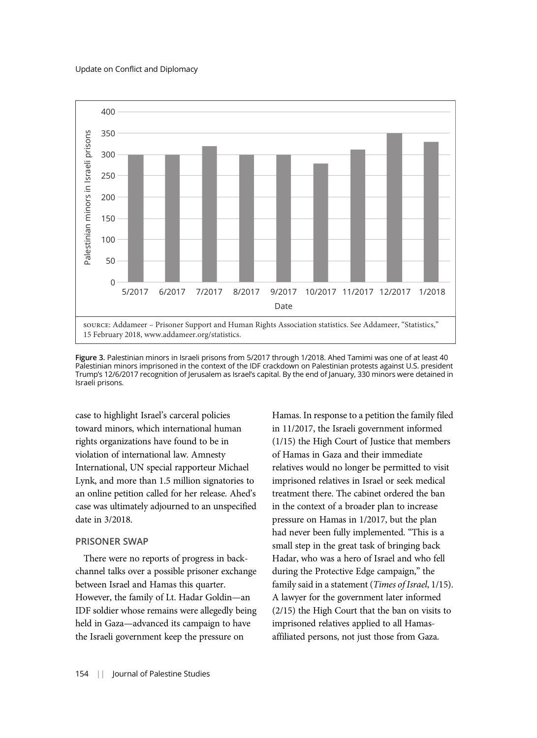

Figure 3. Palestinian minors in Israeli prisons from 5/2017 through 1/2018. Ahed Tamimi was one of at least 40 Palestinian minors imprisoned in the context of the IDF crackdown on Palestinian protests against U.S. president Trump's 12/6/2017 recognition of Jerusalem as Israel's capital. By the end of January, 330 minors were detained in Israeli prisons.

case to highlight Israel's carceral policies toward minors, which international human rights organizations have found to be in violation of international law. Amnesty International, UN special rapporteur Michael Lynk, and more than 1.5 million signatories to an online petition called for her release. Ahed's case was ultimately adjourned to an unspecified date in 3/2018.

#### PRISONER SWAP

There were no reports of progress in backchannel talks over a possible prisoner exchange between Israel and Hamas this quarter. However, the family of Lt. Hadar Goldin—an IDF soldier whose remains were allegedly being held in Gaza—advanced its campaign to have the Israeli government keep the pressure on

Hamas. In response to a petition the family filed in 11/2017, the Israeli government informed (1/15) the High Court of Justice that members of Hamas in Gaza and their immediate relatives would no longer be permitted to visit imprisoned relatives in Israel or seek medical treatment there. The cabinet ordered the ban in the context of a broader plan to increase pressure on Hamas in 1/2017, but the plan had never been fully implemented. "This is a small step in the great task of bringing back Hadar, who was a hero of Israel and who fell during the Protective Edge campaign," the family said in a statement (Times of Israel, 1/15). A lawyer for the government later informed (2/15) the High Court that the ban on visits to imprisoned relatives applied to all Hamasaffiliated persons, not just those from Gaza.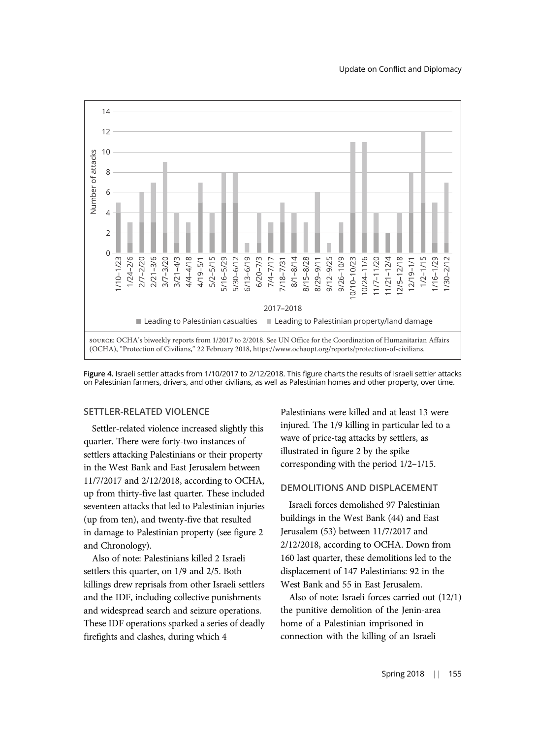

Figure 4. Israeli settler attacks from 1/10/2017 to 2/12/2018. This figure charts the results of Israeli settler attacks on Palestinian farmers, drivers, and other civilians, as well as Palestinian homes and other property, over time.

## SETTLER-RELATED VIOLENCE

Settler-related violence increased slightly this quarter. There were forty-two instances of settlers attacking Palestinians or their property in the West Bank and East Jerusalem between 11/7/2017 and 2/12/2018, according to OCHA, up from thirty-five last quarter. These included seventeen attacks that led to Palestinian injuries (up from ten), and twenty-five that resulted in damage to Palestinian property (see figure 2 and Chronology).

Also of note: Palestinians killed 2 Israeli settlers this quarter, on 1/9 and 2/5. Both killings drew reprisals from other Israeli settlers and the IDF, including collective punishments and widespread search and seizure operations. These IDF operations sparked a series of deadly firefights and clashes, during which 4

Palestinians were killed and at least 13 were injured. The 1/9 killing in particular led to a wave of price-tag attacks by settlers, as illustrated in figure 2 by the spike corresponding with the period 1/2–1/15.

### DEMOLITIONS AND DISPLACEMENT

Israeli forces demolished 97 Palestinian buildings in the West Bank (44) and East Jerusalem (53) between 11/7/2017 and 2/12/2018, according to OCHA. Down from 160 last quarter, these demolitions led to the displacement of 147 Palestinians: 92 in the West Bank and 55 in East Jerusalem.

Also of note: Israeli forces carried out (12/1) the punitive demolition of the Jenin-area home of a Palestinian imprisoned in connection with the killing of an Israeli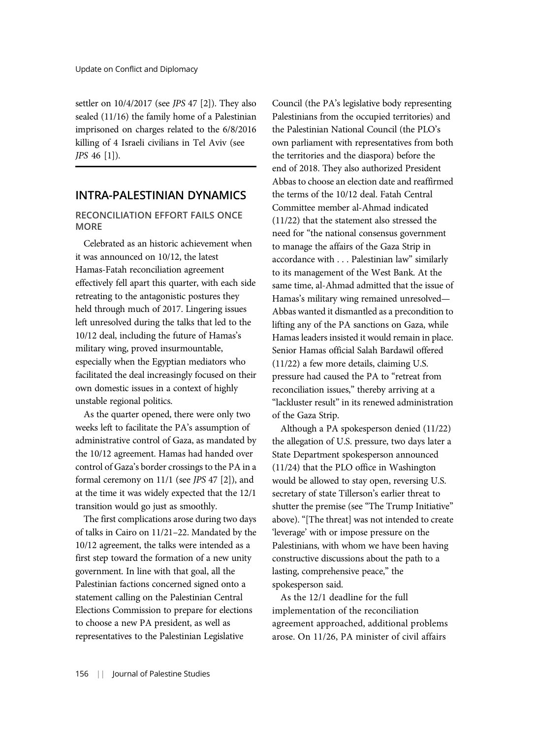settler on 10/4/2017 (see JPS 47 [2]). They also sealed (11/16) the family home of a Palestinian imprisoned on charges related to the 6/8/2016 killing of 4 Israeli civilians in Tel Aviv (see JPS 46 [1]).

# INTRA-PALESTINIAN DYNAMICS

# RECONCILIATION EFFORT FAILS ONCE **MORE**

Celebrated as an historic achievement when it was announced on 10/12, the latest Hamas-Fatah reconciliation agreement effectively fell apart this quarter, with each side retreating to the antagonistic postures they held through much of 2017. Lingering issues left unresolved during the talks that led to the 10/12 deal, including the future of Hamas's military wing, proved insurmountable, especially when the Egyptian mediators who facilitated the deal increasingly focused on their own domestic issues in a context of highly unstable regional politics.

As the quarter opened, there were only two weeks left to facilitate the PA's assumption of administrative control of Gaza, as mandated by the 10/12 agreement. Hamas had handed over control of Gaza's border crossings to the PA in a formal ceremony on 11/1 (see JPS 47 [2]), and at the time it was widely expected that the 12/1 transition would go just as smoothly.

The first complications arose during two days of talks in Cairo on 11/21–22. Mandated by the 10/12 agreement, the talks were intended as a first step toward the formation of a new unity government. In line with that goal, all the Palestinian factions concerned signed onto a statement calling on the Palestinian Central Elections Commission to prepare for elections to choose a new PA president, as well as representatives to the Palestinian Legislative

Council (the PA's legislative body representing Palestinians from the occupied territories) and the Palestinian National Council (the PLO's own parliament with representatives from both the territories and the diaspora) before the end of 2018. They also authorized President Abbas to choose an election date and reaffirmed the terms of the 10/12 deal. Fatah Central Committee member al-Ahmad indicated (11/22) that the statement also stressed the need for "the national consensus government to manage the affairs of the Gaza Strip in accordance with . . . Palestinian law" similarly to its management of the West Bank. At the same time, al-Ahmad admitted that the issue of Hamas's military wing remained unresolved— Abbas wanted it dismantled as a precondition to lifting any of the PA sanctions on Gaza, while Hamas leaders insisted it would remain in place. Senior Hamas official Salah Bardawil offered (11/22) a few more details, claiming U.S. pressure had caused the PA to "retreat from reconciliation issues," thereby arriving at a "lackluster result" in its renewed administration of the Gaza Strip.

Although a PA spokesperson denied (11/22) the allegation of U.S. pressure, two days later a State Department spokesperson announced (11/24) that the PLO office in Washington would be allowed to stay open, reversing U.S. secretary of state Tillerson's earlier threat to shutter the premise (see "The Trump Initiative" above). "[The threat] was not intended to create 'leverage' with or impose pressure on the Palestinians, with whom we have been having constructive discussions about the path to a lasting, comprehensive peace," the spokesperson said.

As the 12/1 deadline for the full implementation of the reconciliation agreement approached, additional problems arose. On 11/26, PA minister of civil affairs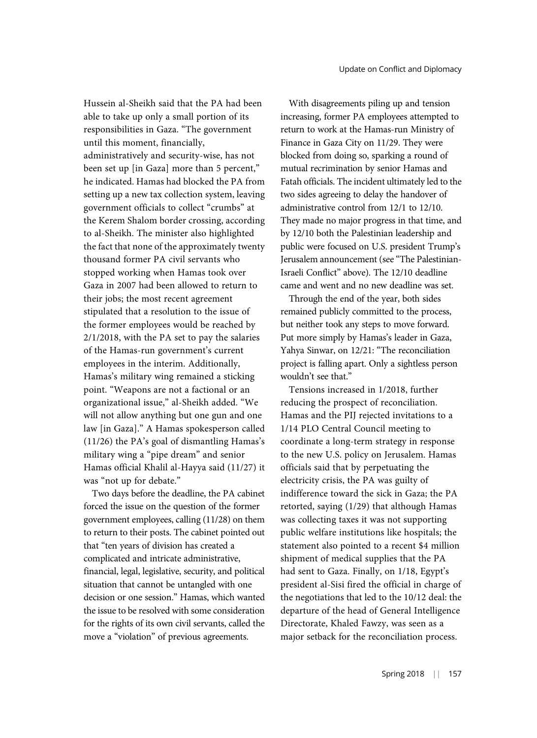Hussein al-Sheikh said that the PA had been able to take up only a small portion of its responsibilities in Gaza. "The government until this moment, financially, administratively and security-wise, has not been set up [in Gaza] more than 5 percent," he indicated. Hamas had blocked the PA from setting up a new tax collection system, leaving government officials to collect "crumbs" at the Kerem Shalom border crossing, according to al-Sheikh. The minister also highlighted the fact that none of the approximately twenty thousand former PA civil servants who stopped working when Hamas took over Gaza in 2007 had been allowed to return to their jobs; the most recent agreement stipulated that a resolution to the issue of the former employees would be reached by 2/1/2018, with the PA set to pay the salaries of the Hamas-run government's current employees in the interim. Additionally, Hamas's military wing remained a sticking point. "Weapons are not a factional or an organizational issue," al-Sheikh added. "We will not allow anything but one gun and one law [in Gaza]." A Hamas spokesperson called (11/26) the PA's goal of dismantling Hamas's military wing a "pipe dream" and senior Hamas official Khalil al-Hayya said (11/27) it was "not up for debate."

Two days before the deadline, the PA cabinet forced the issue on the question of the former government employees, calling (11/28) on them to return to their posts. The cabinet pointed out that "ten years of division has created a complicated and intricate administrative, financial, legal, legislative, security, and political situation that cannot be untangled with one decision or one session." Hamas, which wanted the issue to be resolved with some consideration for the rights of its own civil servants, called the move a "violation" of previous agreements.

With disagreements piling up and tension increasing, former PA employees attempted to return to work at the Hamas-run Ministry of Finance in Gaza City on 11/29. They were blocked from doing so, sparking a round of mutual recrimination by senior Hamas and Fatah officials. The incident ultimately led to the two sides agreeing to delay the handover of administrative control from 12/1 to 12/10. They made no major progress in that time, and by 12/10 both the Palestinian leadership and public were focused on U.S. president Trump's Jerusalem announcement (see "The Palestinian-Israeli Conflict" above). The 12/10 deadline came and went and no new deadline was set.

Through the end of the year, both sides remained publicly committed to the process, but neither took any steps to move forward. Put more simply by Hamas's leader in Gaza, Yahya Sinwar, on 12/21: "The reconciliation project is falling apart. Only a sightless person wouldn't see that."

Tensions increased in 1/2018, further reducing the prospect of reconciliation. Hamas and the PIJ rejected invitations to a 1/14 PLO Central Council meeting to coordinate a long-term strategy in response to the new U.S. policy on Jerusalem. Hamas officials said that by perpetuating the electricity crisis, the PA was guilty of indifference toward the sick in Gaza; the PA retorted, saying (1/29) that although Hamas was collecting taxes it was not supporting public welfare institutions like hospitals; the statement also pointed to a recent \$4 million shipment of medical supplies that the PA had sent to Gaza. Finally, on 1/18, Egypt's president al-Sisi fired the official in charge of the negotiations that led to the 10/12 deal: the departure of the head of General Intelligence Directorate, Khaled Fawzy, was seen as a major setback for the reconciliation process.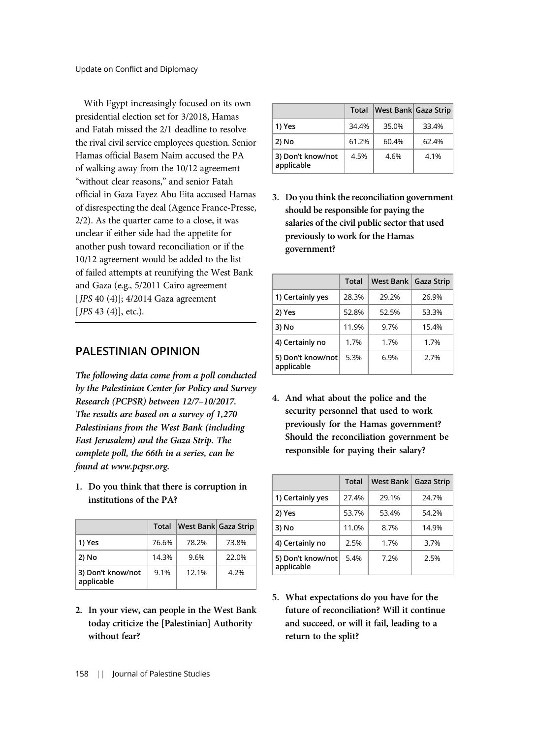With Egypt increasingly focused on its own presidential election set for 3/2018, Hamas and Fatah missed the 2/1 deadline to resolve the rival civil service employees question. Senior Hamas official Basem Naim accused the PA of walking away from the 10/12 agreement "without clear reasons," and senior Fatah official in Gaza Fayez Abu Eita accused Hamas of disrespecting the deal (Agence France-Presse, 2/2). As the quarter came to a close, it was unclear if either side had the appetite for another push toward reconciliation or if the 10/12 agreement would be added to the list of failed attempts at reunifying the West Bank and Gaza (e.g., 5/2011 Cairo agreement [*JPS* 40 (4)]; 4/2014 Gaza agreement  $[JPS 43 (4)],$  etc.).

# PALESTINIAN OPINION

The following data come from a poll conducted by the Palestinian Center for Policy and Survey Research (PCPSR) between 12/7–10/2017. The results are based on a survey of 1,270 Palestinians from the West Bank (including East Jerusalem) and the Gaza Strip. The complete poll, the 66th in a series, can be found at www.pcpsr.org.

1. Do you think that there is corruption in institutions of the PA?

|                                 | Total | West Bank Gaza Strip |       |
|---------------------------------|-------|----------------------|-------|
| 1) Yes                          | 76.6% | 78.2%                | 73.8% |
| 2) No                           | 14.3% | 9.6%                 | 22.0% |
| 3) Don't know/not<br>applicable | 9.1%  | 12.1%                | 4.2%  |

2. In your view, can people in the West Bank today criticize the [Palestinian] Authority without fear?

|                                 | <b>Total</b> | West Bank Gaza Strip |       |
|---------------------------------|--------------|----------------------|-------|
| 1) Yes                          | 34.4%        | 35.0%                | 33.4% |
| 2) No                           | 61.2%        | 60.4%                | 62.4% |
| 3) Don't know/not<br>applicable | 4.5%         | 4.6%                 | 4.1%  |

3. Do you think the reconciliation government should be responsible for paying the salaries of the civil public sector that used previously to work for the Hamas government?

|                                 | Total | West Bank | Gaza Strip |
|---------------------------------|-------|-----------|------------|
| 1) Certainly yes                | 28.3% | 29.2%     | 26.9%      |
| 2) Yes                          | 52.8% | 52.5%     | 53.3%      |
| 3) No                           | 11.9% | 9.7%      | 15.4%      |
| 4) Certainly no                 | 1.7%  | 1.7%      | 1.7%       |
| 5) Don't know/not<br>applicable | 5.3%  | 6.9%      | 2.7%       |

4. And what about the police and the security personnel that used to work previously for the Hamas government? Should the reconciliation government be responsible for paying their salary?

|                                 | Total | West Bank   Gaza Strip |       |
|---------------------------------|-------|------------------------|-------|
| 1) Certainly yes                | 27.4% | 29.1%                  | 24.7% |
| 2) Yes                          | 53.7% | 53.4%                  | 54.2% |
| 3) No                           | 11.0% | 8.7%                   | 14.9% |
| 4) Certainly no                 | 2.5%  | 1.7%                   | 3.7%  |
| 5) Don't know/not<br>applicable | 5.4%  | 7.2%                   | 2.5%  |

5. What expectations do you have for the future of reconciliation? Will it continue and succeed, or will it fail, leading to a return to the split?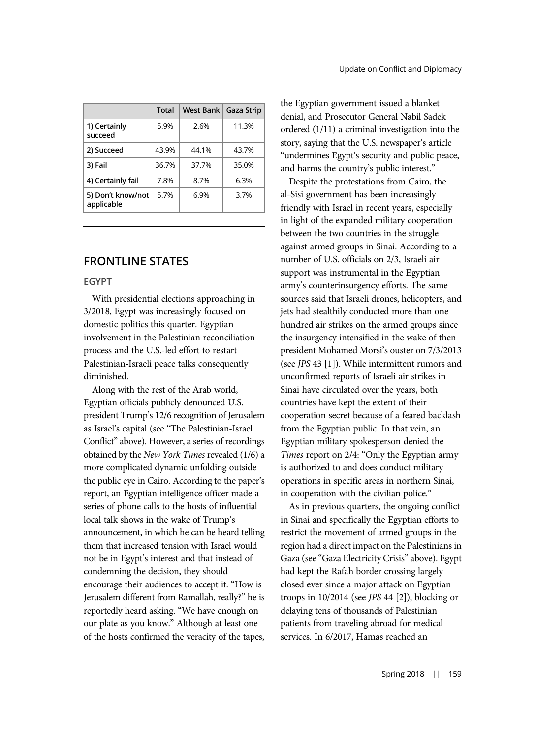|                                 | Total | West Bank | <b>Gaza Strip</b> |
|---------------------------------|-------|-----------|-------------------|
| 1) Certainly<br>succeed         | 5.9%  | 2.6%      | 11.3%             |
| 2) Succeed                      | 43.9% | 44.1%     | 43.7%             |
| 3) Fail                         | 36.7% | 37.7%     | 35.0%             |
| 4) Certainly fail               | 7.8%  | 8.7%      | 6.3%              |
| 5) Don't know/not<br>applicable | 5.7%  | 6.9%      | 3.7%              |

# FRONTLINE STATES

## EGYPT

With presidential elections approaching in 3/2018, Egypt was increasingly focused on domestic politics this quarter. Egyptian involvement in the Palestinian reconciliation process and the U.S.-led effort to restart Palestinian-Israeli peace talks consequently diminished.

Along with the rest of the Arab world, Egyptian officials publicly denounced U.S. president Trump's 12/6 recognition of Jerusalem as Israel's capital (see "The Palestinian-Israel Conflict" above). However, a series of recordings obtained by the New York Times revealed (1/6) a more complicated dynamic unfolding outside the public eye in Cairo. According to the paper's report, an Egyptian intelligence officer made a series of phone calls to the hosts of influential local talk shows in the wake of Trump's announcement, in which he can be heard telling them that increased tension with Israel would not be in Egypt's interest and that instead of condemning the decision, they should encourage their audiences to accept it. "How is Jerusalem different from Ramallah, really?" he is reportedly heard asking. "We have enough on our plate as you know." Although at least one of the hosts confirmed the veracity of the tapes,

the Egyptian government issued a blanket denial, and Prosecutor General Nabil Sadek ordered (1/11) a criminal investigation into the story, saying that the U.S. newspaper's article "undermines Egypt's security and public peace, and harms the country's public interest."

Despite the protestations from Cairo, the al-Sisi government has been increasingly friendly with Israel in recent years, especially in light of the expanded military cooperation between the two countries in the struggle against armed groups in Sinai. According to a number of U.S. officials on 2/3, Israeli air support was instrumental in the Egyptian army's counterinsurgency efforts. The same sources said that Israeli drones, helicopters, and jets had stealthily conducted more than one hundred air strikes on the armed groups since the insurgency intensified in the wake of then president Mohamed Morsi's ouster on 7/3/2013 (see JPS 43 [1]). While intermittent rumors and unconfirmed reports of Israeli air strikes in Sinai have circulated over the years, both countries have kept the extent of their cooperation secret because of a feared backlash from the Egyptian public. In that vein, an Egyptian military spokesperson denied the Times report on 2/4: "Only the Egyptian army is authorized to and does conduct military operations in specific areas in northern Sinai, in cooperation with the civilian police."

As in previous quarters, the ongoing conflict in Sinai and specifically the Egyptian efforts to restrict the movement of armed groups in the region had a direct impact on the Palestinians in Gaza (see "Gaza Electricity Crisis" above). Egypt had kept the Rafah border crossing largely closed ever since a major attack on Egyptian troops in 10/2014 (see JPS 44 [2]), blocking or delaying tens of thousands of Palestinian patients from traveling abroad for medical services. In 6/2017, Hamas reached an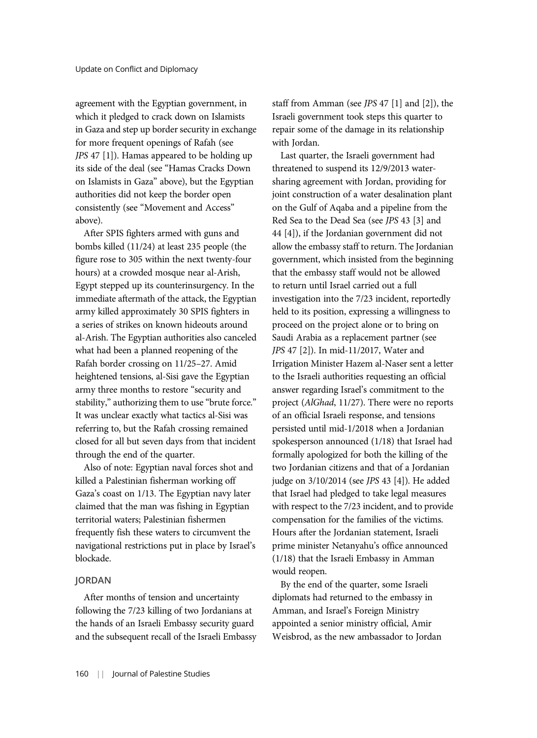agreement with the Egyptian government, in which it pledged to crack down on Islamists in Gaza and step up border security in exchange for more frequent openings of Rafah (see JPS 47 [1]). Hamas appeared to be holding up its side of the deal (see "Hamas Cracks Down on Islamists in Gaza" above), but the Egyptian authorities did not keep the border open consistently (see "Movement and Access" above).

After SPIS fighters armed with guns and bombs killed (11/24) at least 235 people (the figure rose to 305 within the next twenty-four hours) at a crowded mosque near al-Arish, Egypt stepped up its counterinsurgency. In the immediate aftermath of the attack, the Egyptian army killed approximately 30 SPIS fighters in a series of strikes on known hideouts around al-Arish. The Egyptian authorities also canceled what had been a planned reopening of the Rafah border crossing on 11/25–27. Amid heightened tensions, al-Sisi gave the Egyptian army three months to restore "security and stability," authorizing them to use "brute force." It was unclear exactly what tactics al-Sisi was referring to, but the Rafah crossing remained closed for all but seven days from that incident through the end of the quarter.

Also of note: Egyptian naval forces shot and killed a Palestinian fisherman working off Gaza's coast on 1/13. The Egyptian navy later claimed that the man was fishing in Egyptian territorial waters; Palestinian fishermen frequently fish these waters to circumvent the navigational restrictions put in place by Israel's blockade.

#### **JORDAN**

After months of tension and uncertainty following the 7/23 killing of two Jordanians at the hands of an Israeli Embassy security guard and the subsequent recall of the Israeli Embassy staff from Amman (see JPS 47 [1] and [2]), the Israeli government took steps this quarter to repair some of the damage in its relationship with Jordan.

Last quarter, the Israeli government had threatened to suspend its 12/9/2013 watersharing agreement with Jordan, providing for joint construction of a water desalination plant on the Gulf of Aqaba and a pipeline from the Red Sea to the Dead Sea (see JPS 43 [3] and 44 [4]), if the Jordanian government did not allow the embassy staff to return. The Jordanian government, which insisted from the beginning that the embassy staff would not be allowed to return until Israel carried out a full investigation into the 7/23 incident, reportedly held to its position, expressing a willingness to proceed on the project alone or to bring on Saudi Arabia as a replacement partner (see JPS 47 [2]). In mid-11/2017, Water and Irrigation Minister Hazem al-Naser sent a letter to the Israeli authorities requesting an official answer regarding Israel's commitment to the project (AlGhad, 11/27). There were no reports of an official Israeli response, and tensions persisted until mid-1/2018 when a Jordanian spokesperson announced (1/18) that Israel had formally apologized for both the killing of the two Jordanian citizens and that of a Jordanian judge on 3/10/2014 (see JPS 43 [4]). He added that Israel had pledged to take legal measures with respect to the 7/23 incident, and to provide compensation for the families of the victims. Hours after the Jordanian statement, Israeli prime minister Netanyahu's office announced (1/18) that the Israeli Embassy in Amman would reopen.

By the end of the quarter, some Israeli diplomats had returned to the embassy in Amman, and Israel's Foreign Ministry appointed a senior ministry official, Amir Weisbrod, as the new ambassador to Jordan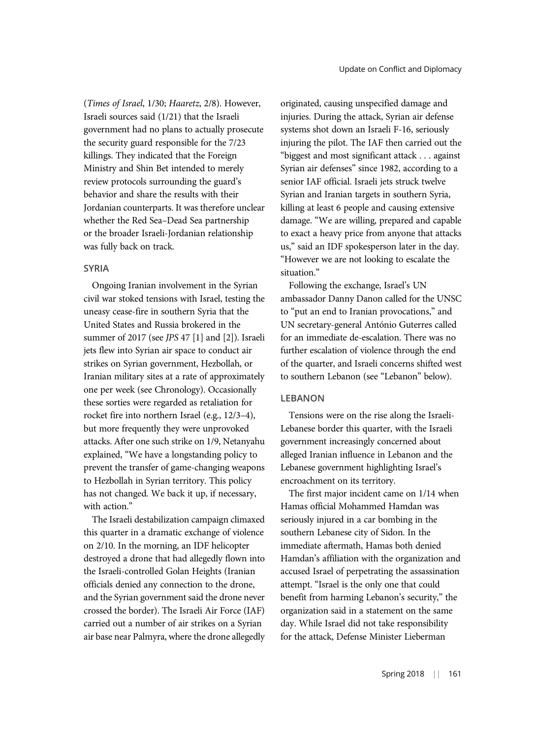(Times of Israel, 1/30; Haaretz, 2/8). However, Israeli sources said (1/21) that the Israeli government had no plans to actually prosecute the security guard responsible for the 7/23 killings. They indicated that the Foreign Ministry and Shin Bet intended to merely review protocols surrounding the guard's behavior and share the results with their Jordanian counterparts. It was therefore unclear whether the Red Sea–Dead Sea partnership or the broader Israeli-Jordanian relationship was fully back on track.

#### SYRIA

Ongoing Iranian involvement in the Syrian civil war stoked tensions with Israel, testing the uneasy cease-fire in southern Syria that the United States and Russia brokered in the summer of 2017 (see JPS 47 [1] and [2]). Israeli jets flew into Syrian air space to conduct air strikes on Syrian government, Hezbollah, or Iranian military sites at a rate of approximately one per week (see Chronology). Occasionally these sorties were regarded as retaliation for rocket fire into northern Israel (e.g., 12/3–4), but more frequently they were unprovoked attacks. After one such strike on 1/9, Netanyahu explained, "We have a longstanding policy to prevent the transfer of game-changing weapons to Hezbollah in Syrian territory. This policy has not changed. We back it up, if necessary, with action."

The Israeli destabilization campaign climaxed this quarter in a dramatic exchange of violence on 2/10. In the morning, an IDF helicopter destroyed a drone that had allegedly flown into the Israeli-controlled Golan Heights (Iranian officials denied any connection to the drone, and the Syrian government said the drone never crossed the border). The Israeli Air Force (IAF) carried out a number of air strikes on a Syrian air base near Palmyra, where the drone allegedly

originated, causing unspecified damage and injuries. During the attack, Syrian air defense systems shot down an Israeli F-16, seriously injuring the pilot. The IAF then carried out the "biggest and most significant attack . . . against Syrian air defenses" since 1982, according to a senior IAF official. Israeli jets struck twelve Syrian and Iranian targets in southern Syria, killing at least 6 people and causing extensive damage. "We are willing, prepared and capable to exact a heavy price from anyone that attacks us," said an IDF spokesperson later in the day. "However we are not looking to escalate the situation."

Following the exchange, Israel's UN ambassador Danny Danon called for the UNSC to "put an end to Iranian provocations," and UN secretary-general António Guterres called for an immediate de-escalation. There was no further escalation of violence through the end of the quarter, and Israeli concerns shifted west to southern Lebanon (see "Lebanon" below).

#### LEBANON

Tensions were on the rise along the Israeli-Lebanese border this quarter, with the Israeli government increasingly concerned about alleged Iranian influence in Lebanon and the Lebanese government highlighting Israel's encroachment on its territory.

The first major incident came on 1/14 when Hamas official Mohammed Hamdan was seriously injured in a car bombing in the southern Lebanese city of Sidon. In the immediate aftermath, Hamas both denied Hamdan's affiliation with the organization and accused Israel of perpetrating the assassination attempt. "Israel is the only one that could benefit from harming Lebanon's security," the organization said in a statement on the same day. While Israel did not take responsibility for the attack, Defense Minister Lieberman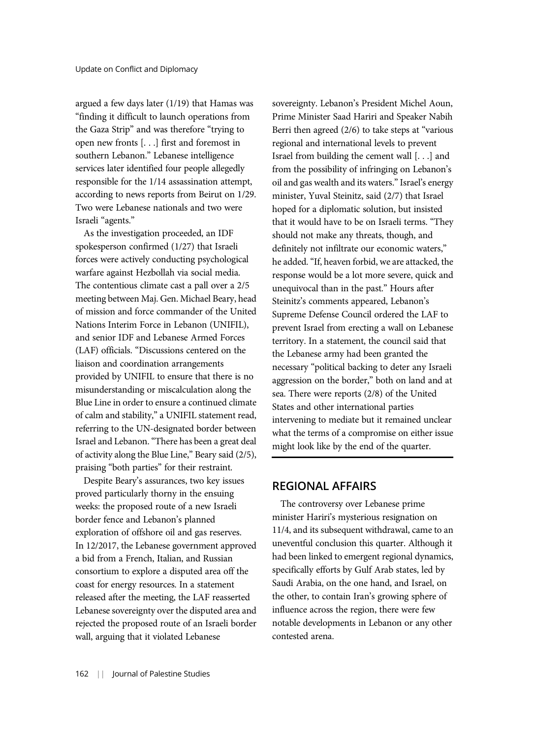argued a few days later (1/19) that Hamas was "finding it difficult to launch operations from the Gaza Strip" and was therefore "trying to open new fronts [. . .] first and foremost in southern Lebanon." Lebanese intelligence services later identified four people allegedly responsible for the 1/14 assassination attempt, according to news reports from Beirut on 1/29. Two were Lebanese nationals and two were Israeli "agents."

As the investigation proceeded, an IDF spokesperson confirmed (1/27) that Israeli forces were actively conducting psychological warfare against Hezbollah via social media. The contentious climate cast a pall over a 2/5 meeting between Maj. Gen. Michael Beary, head of mission and force commander of the United Nations Interim Force in Lebanon (UNIFIL), and senior IDF and Lebanese Armed Forces (LAF) officials. "Discussions centered on the liaison and coordination arrangements provided by UNIFIL to ensure that there is no misunderstanding or miscalculation along the Blue Line in order to ensure a continued climate of calm and stability," a UNIFIL statement read, referring to the UN-designated border between Israel and Lebanon."There has been a great deal of activity along the Blue Line," Beary said (2/5), praising "both parties" for their restraint.

Despite Beary's assurances, two key issues proved particularly thorny in the ensuing weeks: the proposed route of a new Israeli border fence and Lebanon's planned exploration of offshore oil and gas reserves. In 12/2017, the Lebanese government approved a bid from a French, Italian, and Russian consortium to explore a disputed area off the coast for energy resources. In a statement released after the meeting, the LAF reasserted Lebanese sovereignty over the disputed area and rejected the proposed route of an Israeli border wall, arguing that it violated Lebanese

sovereignty. Lebanon's President Michel Aoun, Prime Minister Saad Hariri and Speaker Nabih Berri then agreed (2/6) to take steps at "various regional and international levels to prevent Israel from building the cement wall [. . .] and from the possibility of infringing on Lebanon's oil and gas wealth and its waters."Israel's energy minister, Yuval Steinitz, said (2/7) that Israel hoped for a diplomatic solution, but insisted that it would have to be on Israeli terms. "They should not make any threats, though, and definitely not infiltrate our economic waters," he added."If, heaven forbid, we are attacked, the response would be a lot more severe, quick and unequivocal than in the past." Hours after Steinitz's comments appeared, Lebanon's Supreme Defense Council ordered the LAF to prevent Israel from erecting a wall on Lebanese territory. In a statement, the council said that the Lebanese army had been granted the necessary "political backing to deter any Israeli aggression on the border," both on land and at sea. There were reports (2/8) of the United States and other international parties intervening to mediate but it remained unclear what the terms of a compromise on either issue might look like by the end of the quarter.

# REGIONAL AFFAIRS

The controversy over Lebanese prime minister Hariri's mysterious resignation on 11/4, and its subsequent withdrawal, came to an uneventful conclusion this quarter. Although it had been linked to emergent regional dynamics, specifically efforts by Gulf Arab states, led by Saudi Arabia, on the one hand, and Israel, on the other, to contain Iran's growing sphere of influence across the region, there were few notable developments in Lebanon or any other contested arena.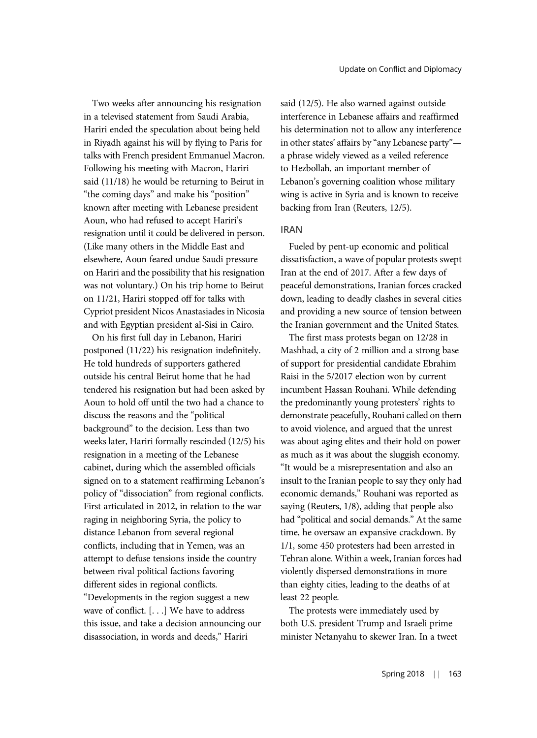Two weeks after announcing his resignation in a televised statement from Saudi Arabia, Hariri ended the speculation about being held in Riyadh against his will by flying to Paris for talks with French president Emmanuel Macron. Following his meeting with Macron, Hariri said (11/18) he would be returning to Beirut in "the coming days" and make his "position" known after meeting with Lebanese president Aoun, who had refused to accept Hariri's resignation until it could be delivered in person. (Like many others in the Middle East and elsewhere, Aoun feared undue Saudi pressure on Hariri and the possibility that his resignation was not voluntary.) On his trip home to Beirut on 11/21, Hariri stopped off for talks with Cypriot president Nicos Anastasiades in Nicosia and with Egyptian president al-Sisi in Cairo.

On his first full day in Lebanon, Hariri postponed (11/22) his resignation indefinitely. He told hundreds of supporters gathered outside his central Beirut home that he had tendered his resignation but had been asked by Aoun to hold off until the two had a chance to discuss the reasons and the "political background" to the decision. Less than two weeks later, Hariri formally rescinded (12/5) his resignation in a meeting of the Lebanese cabinet, during which the assembled officials signed on to a statement reaffirming Lebanon's policy of "dissociation" from regional conflicts. First articulated in 2012, in relation to the war raging in neighboring Syria, the policy to distance Lebanon from several regional conflicts, including that in Yemen, was an attempt to defuse tensions inside the country between rival political factions favoring different sides in regional conflicts. "Developments in the region suggest a new wave of conflict. [. . .] We have to address this issue, and take a decision announcing our disassociation, in words and deeds," Hariri

said (12/5). He also warned against outside interference in Lebanese affairs and reaffirmed his determination not to allow any interference in other states' affairs by "any Lebanese party" a phrase widely viewed as a veiled reference to Hezbollah, an important member of Lebanon's governing coalition whose military wing is active in Syria and is known to receive backing from Iran (Reuters, 12/5).

#### IRAN

Fueled by pent-up economic and political dissatisfaction, a wave of popular protests swept Iran at the end of 2017. After a few days of peaceful demonstrations, Iranian forces cracked down, leading to deadly clashes in several cities and providing a new source of tension between the Iranian government and the United States.

The first mass protests began on 12/28 in Mashhad, a city of 2 million and a strong base of support for presidential candidate Ebrahim Raisi in the 5/2017 election won by current incumbent Hassan Rouhani. While defending the predominantly young protesters' rights to demonstrate peacefully, Rouhani called on them to avoid violence, and argued that the unrest was about aging elites and their hold on power as much as it was about the sluggish economy. "It would be a misrepresentation and also an insult to the Iranian people to say they only had economic demands," Rouhani was reported as saying (Reuters, 1/8), adding that people also had "political and social demands." At the same time, he oversaw an expansive crackdown. By 1/1, some 450 protesters had been arrested in Tehran alone. Within a week, Iranian forces had violently dispersed demonstrations in more than eighty cities, leading to the deaths of at least 22 people.

The protests were immediately used by both U.S. president Trump and Israeli prime minister Netanyahu to skewer Iran. In a tweet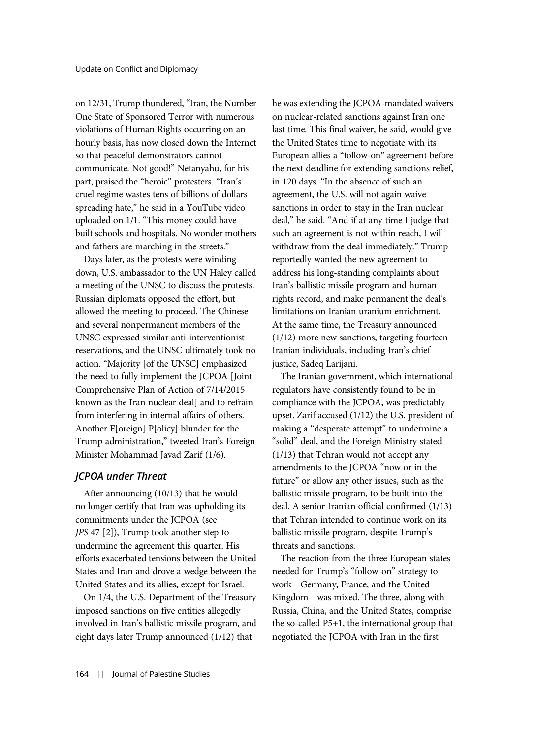on 12/31, Trump thundered, "Iran, the Number One State of Sponsored Terror with numerous violations of Human Rights occurring on an hourly basis, has now closed down the Internet so that peaceful demonstrators cannot communicate. Not good!" Netanyahu, for his part, praised the "heroic" protesters. "Iran's cruel regime wastes tens of billions of dollars spreading hate," he said in a YouTube video uploaded on 1/1. "This money could have built schools and hospitals. No wonder mothers and fathers are marching in the streets."

Days later, as the protests were winding down, U.S. ambassador to the UN Haley called a meeting of the UNSC to discuss the protests. Russian diplomats opposed the effort, but allowed the meeting to proceed. The Chinese and several nonpermanent members of the UNSC expressed similar anti-interventionist reservations, and the UNSC ultimately took no action. "Majority [of the UNSC] emphasized the need to fully implement the JCPOA [Joint Comprehensive Plan of Action of 7/14/2015 known as the Iran nuclear deal] and to refrain from interfering in internal affairs of others. Another F[oreign] P[olicy] blunder for the Trump administration," tweeted Iran's Foreign Minister Mohammad Javad Zarif (1/6).

## JCPOA under Threat

After announcing (10/13) that he would no longer certify that Iran was upholding its commitments under the JCPOA (see JPS 47 [2]), Trump took another step to undermine the agreement this quarter. His efforts exacerbated tensions between the United States and Iran and drove a wedge between the United States and its allies, except for Israel.

On 1/4, the U.S. Department of the Treasury imposed sanctions on five entities allegedly involved in Iran's ballistic missile program, and eight days later Trump announced (1/12) that

he was extending the JCPOA-mandated waivers on nuclear-related sanctions against Iran one last time. This final waiver, he said, would give the United States time to negotiate with its European allies a "follow-on" agreement before the next deadline for extending sanctions relief, in 120 days. "In the absence of such an agreement, the U.S. will not again waive sanctions in order to stay in the Iran nuclear deal," he said. "And if at any time I judge that such an agreement is not within reach, I will withdraw from the deal immediately." Trump reportedly wanted the new agreement to address his long-standing complaints about Iran's ballistic missile program and human rights record, and make permanent the deal's limitations on Iranian uranium enrichment. At the same time, the Treasury announced (1/12) more new sanctions, targeting fourteen Iranian individuals, including Iran's chief justice, Sadeq Larijani.

The Iranian government, which international regulators have consistently found to be in compliance with the JCPOA, was predictably upset. Zarif accused (1/12) the U.S. president of making a "desperate attempt" to undermine a "solid" deal, and the Foreign Ministry stated (1/13) that Tehran would not accept any amendments to the JCPOA "now or in the future" or allow any other issues, such as the ballistic missile program, to be built into the deal. A senior Iranian official confirmed (1/13) that Tehran intended to continue work on its ballistic missile program, despite Trump's threats and sanctions.

The reaction from the three European states needed for Trump's "follow-on" strategy to work—Germany, France, and the United Kingdom—was mixed. The three, along with Russia, China, and the United States, comprise the so-called P5+1, the international group that negotiated the JCPOA with Iran in the first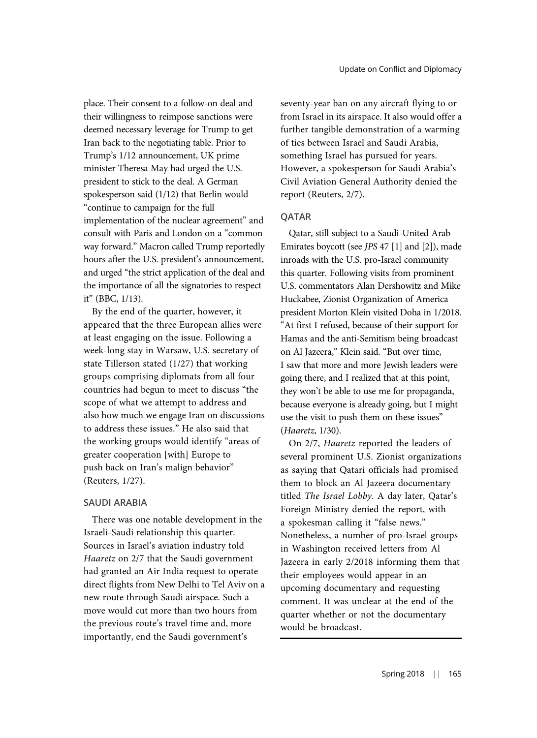place. Their consent to a follow-on deal and their willingness to reimpose sanctions were deemed necessary leverage for Trump to get Iran back to the negotiating table. Prior to Trump's 1/12 announcement, UK prime minister Theresa May had urged the U.S. president to stick to the deal. A German spokesperson said (1/12) that Berlin would "continue to campaign for the full implementation of the nuclear agreement" and consult with Paris and London on a "common way forward." Macron called Trump reportedly hours after the U.S. president's announcement, and urged "the strict application of the deal and the importance of all the signatories to respect it" (BBC, 1/13).

By the end of the quarter, however, it appeared that the three European allies were at least engaging on the issue. Following a week-long stay in Warsaw, U.S. secretary of state Tillerson stated (1/27) that working groups comprising diplomats from all four countries had begun to meet to discuss "the scope of what we attempt to address and also how much we engage Iran on discussions to address these issues." He also said that the working groups would identify "areas of greater cooperation [with] Europe to push back on Iran's malign behavior" (Reuters, 1/27).

## SAUDI ARABIA

There was one notable development in the Israeli-Saudi relationship this quarter. Sources in Israel's aviation industry told Haaretz on 2/7 that the Saudi government had granted an Air India request to operate direct flights from New Delhi to Tel Aviv on a new route through Saudi airspace. Such a move would cut more than two hours from the previous route's travel time and, more importantly, end the Saudi government's

seventy-year ban on any aircraft flying to or from Israel in its airspace. It also would offer a further tangible demonstration of a warming of ties between Israel and Saudi Arabia, something Israel has pursued for years. However, a spokesperson for Saudi Arabia's Civil Aviation General Authority denied the report (Reuters, 2/7).

#### **QATAR**

Qatar, still subject to a Saudi-United Arab Emirates boycott (see JPS 47 [1] and [2]), made inroads with the U.S. pro-Israel community this quarter. Following visits from prominent U.S. commentators Alan Dershowitz and Mike Huckabee, Zionist Organization of America president Morton Klein visited Doha in 1/2018. "At first I refused, because of their support for Hamas and the anti-Semitism being broadcast on Al Jazeera," Klein said. "But over time, I saw that more and more Jewish leaders were going there, and I realized that at this point, they won't be able to use me for propaganda, because everyone is already going, but I might use the visit to push them on these issues" (Haaretz, 1/30).

On 2/7, Haaretz reported the leaders of several prominent U.S. Zionist organizations as saying that Qatari officials had promised them to block an Al Jazeera documentary titled The Israel Lobby. A day later, Qatar's Foreign Ministry denied the report, with a spokesman calling it "false news." Nonetheless, a number of pro-Israel groups in Washington received letters from Al Jazeera in early 2/2018 informing them that their employees would appear in an upcoming documentary and requesting comment. It was unclear at the end of the quarter whether or not the documentary would be broadcast.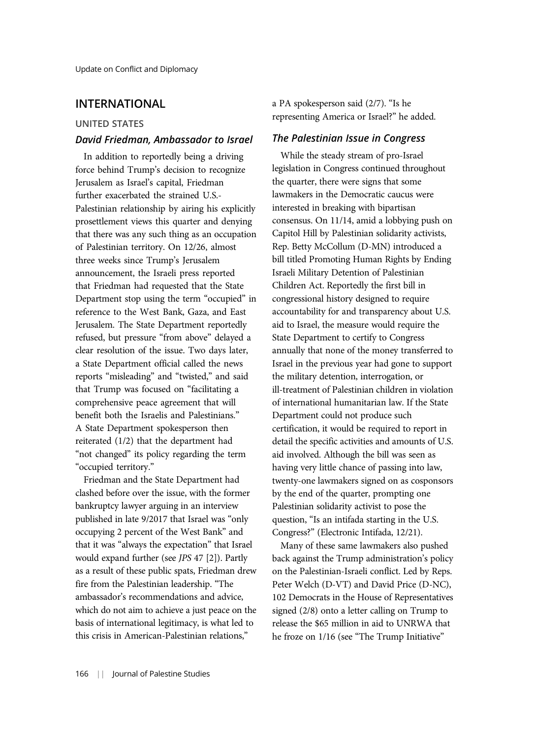# INTERNATIONAL

## UNITED STATES

### David Friedman, Ambassador to Israel

In addition to reportedly being a driving force behind Trump's decision to recognize Jerusalem as Israel's capital, Friedman further exacerbated the strained U.S.- Palestinian relationship by airing his explicitly prosettlement views this quarter and denying that there was any such thing as an occupation of Palestinian territory. On 12/26, almost three weeks since Trump's Jerusalem announcement, the Israeli press reported that Friedman had requested that the State Department stop using the term "occupied" in reference to the West Bank, Gaza, and East Jerusalem. The State Department reportedly refused, but pressure "from above" delayed a clear resolution of the issue. Two days later, a State Department official called the news reports "misleading" and "twisted," and said that Trump was focused on "facilitating a comprehensive peace agreement that will benefit both the Israelis and Palestinians." A State Department spokesperson then reiterated (1/2) that the department had "not changed" its policy regarding the term "occupied territory."

Friedman and the State Department had clashed before over the issue, with the former bankruptcy lawyer arguing in an interview published in late 9/2017 that Israel was "only occupying 2 percent of the West Bank" and that it was "always the expectation" that Israel would expand further (see JPS 47 [2]). Partly as a result of these public spats, Friedman drew fire from the Palestinian leadership. "The ambassador's recommendations and advice, which do not aim to achieve a just peace on the basis of international legitimacy, is what led to this crisis in American-Palestinian relations,"

a PA spokesperson said (2/7). "Is he representing America or Israel?" he added.

# The Palestinian Issue in Congress

While the steady stream of pro-Israel legislation in Congress continued throughout the quarter, there were signs that some lawmakers in the Democratic caucus were interested in breaking with bipartisan consensus. On 11/14, amid a lobbying push on Capitol Hill by Palestinian solidarity activists, Rep. Betty McCollum (D-MN) introduced a bill titled Promoting Human Rights by Ending Israeli Military Detention of Palestinian Children Act. Reportedly the first bill in congressional history designed to require accountability for and transparency about U.S. aid to Israel, the measure would require the State Department to certify to Congress annually that none of the money transferred to Israel in the previous year had gone to support the military detention, interrogation, or ill-treatment of Palestinian children in violation of international humanitarian law. If the State Department could not produce such certification, it would be required to report in detail the specific activities and amounts of U.S. aid involved. Although the bill was seen as having very little chance of passing into law, twenty-one lawmakers signed on as cosponsors by the end of the quarter, prompting one Palestinian solidarity activist to pose the question, "Is an intifada starting in the U.S. Congress?" (Electronic Intifada, 12/21).

Many of these same lawmakers also pushed back against the Trump administration's policy on the Palestinian-Israeli conflict. Led by Reps. Peter Welch (D-VT) and David Price (D-NC), 102 Democrats in the House of Representatives signed (2/8) onto a letter calling on Trump to release the \$65 million in aid to UNRWA that he froze on  $1/16$  (see "The Trump Initiative"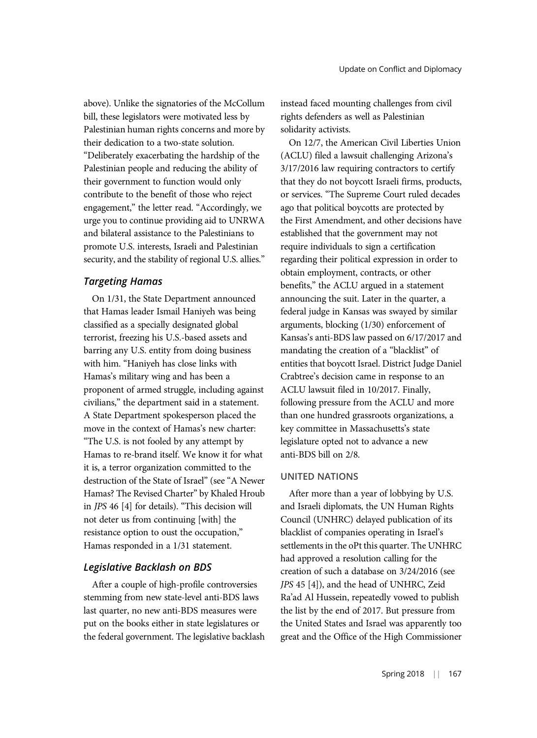above). Unlike the signatories of the McCollum bill, these legislators were motivated less by Palestinian human rights concerns and more by their dedication to a two-state solution. "Deliberately exacerbating the hardship of the Palestinian people and reducing the ability of their government to function would only contribute to the benefit of those who reject engagement," the letter read. "Accordingly, we urge you to continue providing aid to UNRWA and bilateral assistance to the Palestinians to promote U.S. interests, Israeli and Palestinian security, and the stability of regional U.S. allies."

# Targeting Hamas

On 1/31, the State Department announced that Hamas leader Ismail Haniyeh was being classified as a specially designated global terrorist, freezing his U.S.-based assets and barring any U.S. entity from doing business with him. "Haniyeh has close links with Hamas's military wing and has been a proponent of armed struggle, including against civilians," the department said in a statement. A State Department spokesperson placed the move in the context of Hamas's new charter: "The U.S. is not fooled by any attempt by Hamas to re-brand itself. We know it for what it is, a terror organization committed to the destruction of the State of Israel" (see "A Newer Hamas? The Revised Charter" by Khaled Hroub in JPS 46 [4] for details). "This decision will not deter us from continuing [with] the resistance option to oust the occupation," Hamas responded in a 1/31 statement.

## Legislative Backlash on BDS

After a couple of high-profile controversies stemming from new state-level anti-BDS laws last quarter, no new anti-BDS measures were put on the books either in state legislatures or the federal government. The legislative backlash instead faced mounting challenges from civil rights defenders as well as Palestinian solidarity activists.

On 12/7, the American Civil Liberties Union (ACLU) filed a lawsuit challenging Arizona's 3/17/2016 law requiring contractors to certify that they do not boycott Israeli firms, products, or services. "The Supreme Court ruled decades ago that political boycotts are protected by the First Amendment, and other decisions have established that the government may not require individuals to sign a certification regarding their political expression in order to obtain employment, contracts, or other benefits," the ACLU argued in a statement announcing the suit. Later in the quarter, a federal judge in Kansas was swayed by similar arguments, blocking (1/30) enforcement of Kansas's anti-BDS law passed on 6/17/2017 and mandating the creation of a "blacklist" of entities that boycott Israel. District Judge Daniel Crabtree's decision came in response to an ACLU lawsuit filed in 10/2017. Finally, following pressure from the ACLU and more than one hundred grassroots organizations, a key committee in Massachusetts's state legislature opted not to advance a new anti-BDS bill on 2/8.

#### UNITED NATIONS

After more than a year of lobbying by U.S. and Israeli diplomats, the UN Human Rights Council (UNHRC) delayed publication of its blacklist of companies operating in Israel's settlements in the oPt this quarter. The UNHRC had approved a resolution calling for the creation of such a database on 3/24/2016 (see JPS 45 [4]), and the head of UNHRC, Zeid Ra'ad Al Hussein, repeatedly vowed to publish the list by the end of 2017. But pressure from the United States and Israel was apparently too great and the Office of the High Commissioner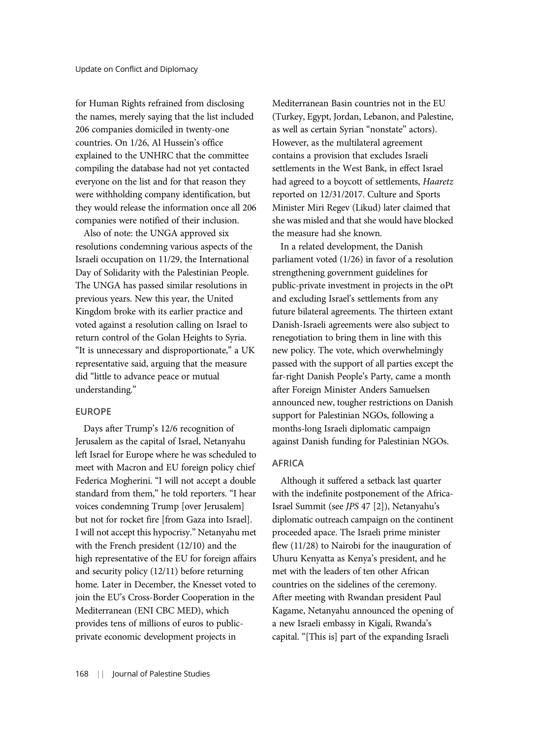for Human Rights refrained from disclosing the names, merely saying that the list included 206 companies domiciled in twenty-one countries. On 1/26, Al Hussein's office explained to the UNHRC that the committee compiling the database had not yet contacted everyone on the list and for that reason they were withholding company identification, but they would release the information once all 206 companies were notified of their inclusion.

Also of note: the UNGA approved six resolutions condemning various aspects of the Israeli occupation on 11/29, the International Day of Solidarity with the Palestinian People. The UNGA has passed similar resolutions in previous years. New this year, the United Kingdom broke with its earlier practice and voted against a resolution calling on Israel to return control of the Golan Heights to Syria. "It is unnecessary and disproportionate," a UK representative said, arguing that the measure did "little to advance peace or mutual understanding."

#### EUROPE

Days after Trump's 12/6 recognition of Jerusalem as the capital of Israel, Netanyahu left Israel for Europe where he was scheduled to meet with Macron and EU foreign policy chief Federica Mogherini. "I will not accept a double standard from them," he told reporters. "I hear voices condemning Trump [over Jerusalem] but not for rocket fire [from Gaza into Israel]. I will not accept this hypocrisy." Netanyahu met with the French president (12/10) and the high representative of the EU for foreign affairs and security policy (12/11) before returning home. Later in December, the Knesset voted to join the EU's Cross-Border Cooperation in the Mediterranean (ENI CBC MED), which provides tens of millions of euros to publicprivate economic development projects in

Mediterranean Basin countries not in the EU (Turkey, Egypt, Jordan, Lebanon, and Palestine, as well as certain Syrian "nonstate" actors). However, as the multilateral agreement contains a provision that excludes Israeli settlements in the West Bank, in effect Israel had agreed to a boycott of settlements, Haaretz reported on 12/31/2017. Culture and Sports Minister Miri Regev (Likud) later claimed that she was misled and that she would have blocked the measure had she known.

In a related development, the Danish parliament voted (1/26) in favor of a resolution strengthening government guidelines for public-private investment in projects in the oPt and excluding Israel's settlements from any future bilateral agreements. The thirteen extant Danish-Israeli agreements were also subject to renegotiation to bring them in line with this new policy. The vote, which overwhelmingly passed with the support of all parties except the far-right Danish People's Party, came a month after Foreign Minister Anders Samuelsen announced new, tougher restrictions on Danish support for Palestinian NGOs, following a months-long Israeli diplomatic campaign against Danish funding for Palestinian NGOs.

## AFRICA

Although it suffered a setback last quarter with the indefinite postponement of the Africa-Israel Summit (see JPS 47 [2]), Netanyahu's diplomatic outreach campaign on the continent proceeded apace. The Israeli prime minister flew (11/28) to Nairobi for the inauguration of Uhuru Kenyatta as Kenya's president, and he met with the leaders of ten other African countries on the sidelines of the ceremony. After meeting with Rwandan president Paul Kagame, Netanyahu announced the opening of a new Israeli embassy in Kigali, Rwanda's capital. "[This is] part of the expanding Israeli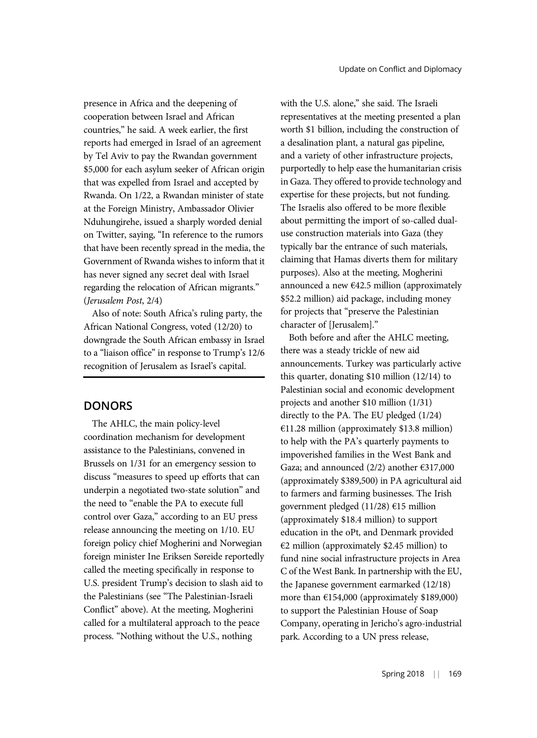presence in Africa and the deepening of cooperation between Israel and African countries," he said. A week earlier, the first reports had emerged in Israel of an agreement by Tel Aviv to pay the Rwandan government \$5,000 for each asylum seeker of African origin that was expelled from Israel and accepted by Rwanda. On 1/22, a Rwandan minister of state at the Foreign Ministry, Ambassador Olivier Nduhungirehe, issued a sharply worded denial on Twitter, saying, "In reference to the rumors that have been recently spread in the media, the Government of Rwanda wishes to inform that it has never signed any secret deal with Israel regarding the relocation of African migrants." (Jerusalem Post, 2/4)

Also of note: South Africa's ruling party, the African National Congress, voted (12/20) to downgrade the South African embassy in Israel to a "liaison office" in response to Trump's 12/6 recognition of Jerusalem as Israel's capital.

# DONORS

The AHLC, the main policy-level coordination mechanism for development assistance to the Palestinians, convened in Brussels on 1/31 for an emergency session to discuss "measures to speed up efforts that can underpin a negotiated two-state solution" and the need to "enable the PA to execute full control over Gaza," according to an EU press release announcing the meeting on 1/10. EU foreign policy chief Mogherini and Norwegian foreign minister Ine Eriksen Søreide reportedly called the meeting specifically in response to U.S. president Trump's decision to slash aid to the Palestinians (see "The Palestinian-Israeli Conflict" above). At the meeting, Mogherini called for a multilateral approach to the peace process. "Nothing without the U.S., nothing

with the U.S. alone," she said. The Israeli representatives at the meeting presented a plan worth \$1 billion, including the construction of a desalination plant, a natural gas pipeline, and a variety of other infrastructure projects, purportedly to help ease the humanitarian crisis in Gaza. They offered to provide technology and expertise for these projects, but not funding. The Israelis also offered to be more flexible about permitting the import of so-called dualuse construction materials into Gaza (they typically bar the entrance of such materials, claiming that Hamas diverts them for military purposes). Also at the meeting, Mogherini announced a new €42.5 million (approximately \$52.2 million) aid package, including money for projects that "preserve the Palestinian character of [Jerusalem]."

Both before and after the AHLC meeting, there was a steady trickle of new aid announcements. Turkey was particularly active this quarter, donating \$10 million (12/14) to Palestinian social and economic development projects and another \$10 million (1/31) directly to the PA. The EU pledged (1/24) €11.28 million (approximately \$13.8 million) to help with the PA's quarterly payments to impoverished families in the West Bank and Gaza; and announced  $(2/2)$  another  $\epsilon$ 317,000 (approximately \$389,500) in PA agricultural aid to farmers and farming businesses. The Irish government pledged (11/28) €15 million (approximately \$18.4 million) to support education in the oPt, and Denmark provided €2 million (approximately \$2.45 million) to fund nine social infrastructure projects in Area C of the West Bank. In partnership with the EU, the Japanese government earmarked (12/18) more than  $£154,000$  (approximately \$189,000) to support the Palestinian House of Soap Company, operating in Jericho's agro-industrial park. According to a UN press release,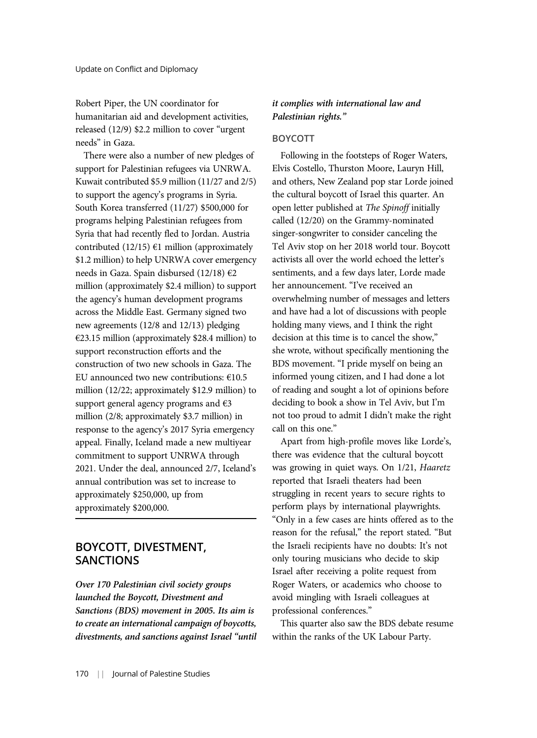Robert Piper, the UN coordinator for humanitarian aid and development activities, released (12/9) \$2.2 million to cover "urgent needs" in Gaza.

There were also a number of new pledges of support for Palestinian refugees via UNRWA. Kuwait contributed \$5.9 million (11/27 and 2/5) to support the agency's programs in Syria. South Korea transferred (11/27) \$500,000 for programs helping Palestinian refugees from Syria that had recently fled to Jordan. Austria contributed (12/15)  $\epsilon$ 1 million (approximately \$1.2 million) to help UNRWA cover emergency needs in Gaza. Spain disbursed (12/18) $\mathsf{f}\mathsf{2}$ million (approximately \$2.4 million) to support the agency's human development programs across the Middle East. Germany signed two new agreements (12/8 and 12/13) pledging €23.15 million (approximately \$28.4 million) to support reconstruction efforts and the construction of two new schools in Gaza. The EU announced two new contributions: €10.5 million (12/22; approximately \$12.9 million) to support general agency programs and  $\epsilon$ 3 million (2/8; approximately \$3.7 million) in response to the agency's 2017 Syria emergency appeal. Finally, Iceland made a new multiyear commitment to support UNRWA through 2021. Under the deal, announced 2/7, Iceland's annual contribution was set to increase to approximately \$250,000, up from approximately \$200,000.

# BOYCOTT, DIVESTMENT, SANCTIONS

Over 170 Palestinian civil society groups launched the Boycott, Divestment and Sanctions (BDS) movement in 2005. Its aim is to create an international campaign of boycotts, divestments, and sanctions against Israel "until

# it complies with international law and Palestinian rights."

### BOYCOTT

Following in the footsteps of Roger Waters, Elvis Costello, Thurston Moore, Lauryn Hill, and others, New Zealand pop star Lorde joined the cultural boycott of Israel this quarter. An open letter published at The Spinoff initially called (12/20) on the Grammy-nominated singer-songwriter to consider canceling the Tel Aviv stop on her 2018 world tour. Boycott activists all over the world echoed the letter's sentiments, and a few days later, Lorde made her announcement. "I've received an overwhelming number of messages and letters and have had a lot of discussions with people holding many views, and I think the right decision at this time is to cancel the show," she wrote, without specifically mentioning the BDS movement. "I pride myself on being an informed young citizen, and I had done a lot of reading and sought a lot of opinions before deciding to book a show in Tel Aviv, but I'm not too proud to admit I didn't make the right call on this one."

Apart from high-profile moves like Lorde's, there was evidence that the cultural boycott was growing in quiet ways. On 1/21, Haaretz reported that Israeli theaters had been struggling in recent years to secure rights to perform plays by international playwrights. "Only in a few cases are hints offered as to the reason for the refusal," the report stated. "But the Israeli recipients have no doubts: It's not only touring musicians who decide to skip Israel after receiving a polite request from Roger Waters, or academics who choose to avoid mingling with Israeli colleagues at professional conferences."

This quarter also saw the BDS debate resume within the ranks of the UK Labour Party.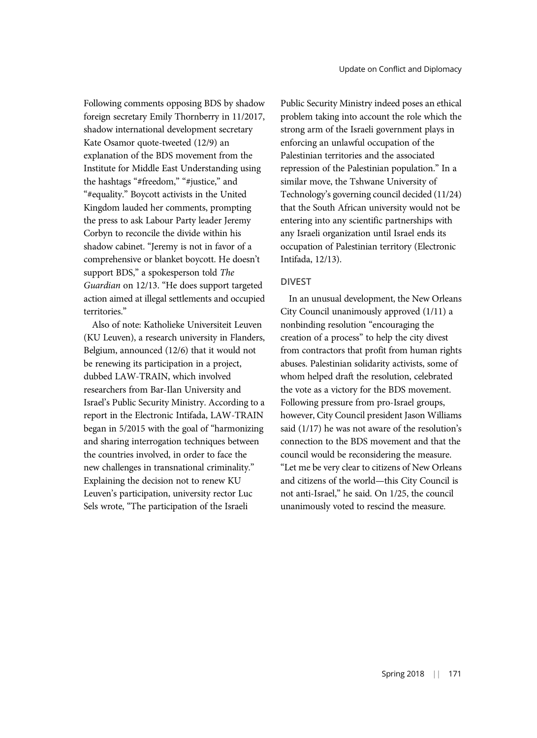Following comments opposing BDS by shadow foreign secretary Emily Thornberry in 11/2017, shadow international development secretary Kate Osamor quote-tweeted (12/9) an explanation of the BDS movement from the Institute for Middle East Understanding using the hashtags "#freedom," "#justice," and "#equality." Boycott activists in the United Kingdom lauded her comments, prompting the press to ask Labour Party leader Jeremy Corbyn to reconcile the divide within his shadow cabinet. "Jeremy is not in favor of a comprehensive or blanket boycott. He doesn't support BDS," a spokesperson told The Guardian on 12/13. "He does support targeted action aimed at illegal settlements and occupied territories."

Also of note: Katholieke Universiteit Leuven (KU Leuven), a research university in Flanders, Belgium, announced (12/6) that it would not be renewing its participation in a project, dubbed LAW-TRAIN, which involved researchers from Bar-Ilan University and Israel's Public Security Ministry. According to a report in the Electronic Intifada, LAW-TRAIN began in 5/2015 with the goal of "harmonizing and sharing interrogation techniques between the countries involved, in order to face the new challenges in transnational criminality." Explaining the decision not to renew KU Leuven's participation, university rector Luc Sels wrote, "The participation of the Israeli

Public Security Ministry indeed poses an ethical problem taking into account the role which the strong arm of the Israeli government plays in enforcing an unlawful occupation of the Palestinian territories and the associated repression of the Palestinian population." In a similar move, the Tshwane University of Technology's governing council decided (11/24) that the South African university would not be entering into any scientific partnerships with any Israeli organization until Israel ends its occupation of Palestinian territory (Electronic Intifada, 12/13).

## DIVEST

In an unusual development, the New Orleans City Council unanimously approved (1/11) a nonbinding resolution "encouraging the creation of a process" to help the city divest from contractors that profit from human rights abuses. Palestinian solidarity activists, some of whom helped draft the resolution, celebrated the vote as a victory for the BDS movement. Following pressure from pro-Israel groups, however, City Council president Jason Williams said (1/17) he was not aware of the resolution's connection to the BDS movement and that the council would be reconsidering the measure. "Let me be very clear to citizens of New Orleans and citizens of the world—this City Council is not anti-Israel," he said. On 1/25, the council unanimously voted to rescind the measure.